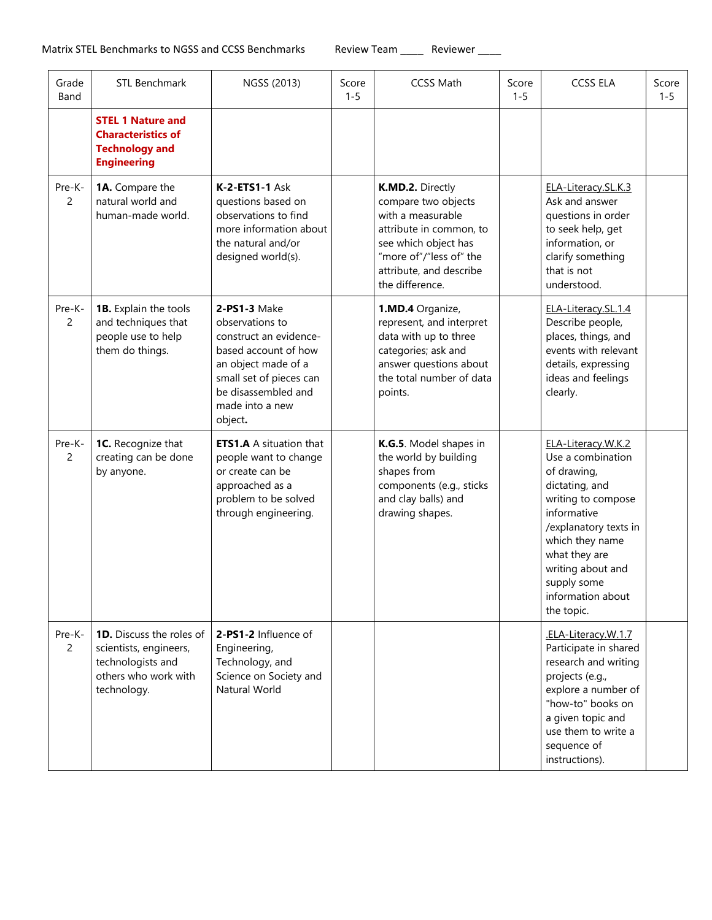| Grade<br>Band            | <b>STL Benchmark</b>                                                                                                  | NGSS (2013)                                                                                                                                                                              | Score<br>$1 - 5$ | <b>CCSS Math</b>                                                                                                                                                                         | Score<br>$1 - 5$ | <b>CCSS ELA</b>                                                                                                                                                                                                                                   | Score<br>$1 - 5$ |
|--------------------------|-----------------------------------------------------------------------------------------------------------------------|------------------------------------------------------------------------------------------------------------------------------------------------------------------------------------------|------------------|------------------------------------------------------------------------------------------------------------------------------------------------------------------------------------------|------------------|---------------------------------------------------------------------------------------------------------------------------------------------------------------------------------------------------------------------------------------------------|------------------|
|                          | <b>STEL 1 Nature and</b><br><b>Characteristics of</b><br><b>Technology and</b><br><b>Engineering</b>                  |                                                                                                                                                                                          |                  |                                                                                                                                                                                          |                  |                                                                                                                                                                                                                                                   |                  |
| Pre-K-<br>$\overline{2}$ | 1A. Compare the<br>natural world and<br>human-made world.                                                             | <b>K-2-ETS1-1 Ask</b><br>questions based on<br>observations to find<br>more information about<br>the natural and/or<br>designed world(s).                                                |                  | K.MD.2. Directly<br>compare two objects<br>with a measurable<br>attribute in common, to<br>see which object has<br>"more of"/"less of" the<br>attribute, and describe<br>the difference. |                  | ELA-Literacy.SL.K.3<br>Ask and answer<br>questions in order<br>to seek help, get<br>information, or<br>clarify something<br>that is not<br>understood.                                                                                            |                  |
| Pre-K-<br>2              | 1B. Explain the tools<br>and techniques that<br>people use to help<br>them do things.                                 | 2-PS1-3 Make<br>observations to<br>construct an evidence-<br>based account of how<br>an object made of a<br>small set of pieces can<br>be disassembled and<br>made into a new<br>object. |                  | 1.MD.4 Organize,<br>represent, and interpret<br>data with up to three<br>categories; ask and<br>answer questions about<br>the total number of data<br>points.                            |                  | ELA-Literacy.SL.1.4<br>Describe people,<br>places, things, and<br>events with relevant<br>details, expressing<br>ideas and feelings<br>clearly.                                                                                                   |                  |
| Pre-K-<br>2              | 1C. Recognize that<br>creating can be done<br>by anyone.                                                              | <b>ETS1.A</b> A situation that<br>people want to change<br>or create can be<br>approached as a<br>problem to be solved<br>through engineering.                                           |                  | K.G.5. Model shapes in<br>the world by building<br>shapes from<br>components (e.g., sticks<br>and clay balls) and<br>drawing shapes.                                                     |                  | ELA-Literacy.W.K.2<br>Use a combination<br>of drawing,<br>dictating, and<br>writing to compose<br>informative<br>/explanatory texts in<br>which they name<br>what they are<br>writing about and<br>supply some<br>information about<br>the topic. |                  |
| Pre-K-<br>$\overline{2}$ | <b>1D.</b> Discuss the roles of<br>scientists, engineers,<br>technologists and<br>others who work with<br>technology. | 2-PS1-2 Influence of<br>Engineering,<br>Technology, and<br>Science on Society and<br>Natural World                                                                                       |                  |                                                                                                                                                                                          |                  | .ELA-Literacy.W.1.7<br>Participate in shared<br>research and writing<br>projects (e.g.,<br>explore a number of<br>"how-to" books on<br>a given topic and<br>use them to write a<br>sequence of<br>instructions).                                  |                  |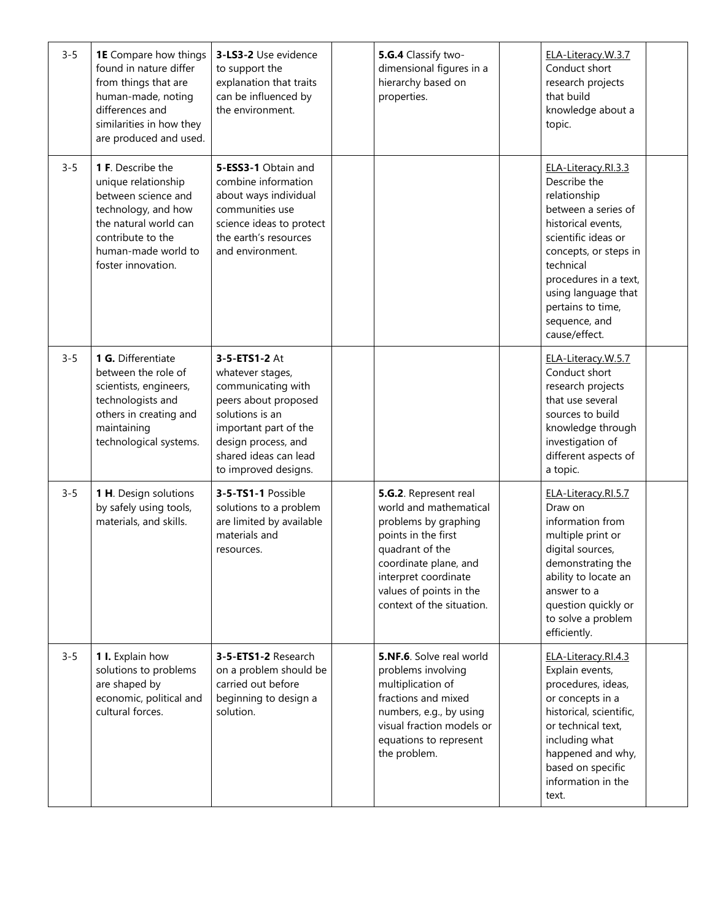| $3 - 5$ | <b>1E</b> Compare how things<br>found in nature differ<br>from things that are<br>human-made, noting<br>differences and<br>similarities in how they<br>are produced and used.     | 3-LS3-2 Use evidence<br>to support the<br>explanation that traits<br>can be influenced by<br>the environment.                                                                                       | 5.G.4 Classify two-<br>dimensional figures in a<br>hierarchy based on<br>properties.                                                                                                                                       | ELA-Literacy.W.3.7<br>Conduct short<br>research projects<br>that build<br>knowledge about a<br>topic.                                                                                                                                                                |  |
|---------|-----------------------------------------------------------------------------------------------------------------------------------------------------------------------------------|-----------------------------------------------------------------------------------------------------------------------------------------------------------------------------------------------------|----------------------------------------------------------------------------------------------------------------------------------------------------------------------------------------------------------------------------|----------------------------------------------------------------------------------------------------------------------------------------------------------------------------------------------------------------------------------------------------------------------|--|
| $3 - 5$ | 1 F. Describe the<br>unique relationship<br>between science and<br>technology, and how<br>the natural world can<br>contribute to the<br>human-made world to<br>foster innovation. | 5-ESS3-1 Obtain and<br>combine information<br>about ways individual<br>communities use<br>science ideas to protect<br>the earth's resources<br>and environment.                                     |                                                                                                                                                                                                                            | ELA-Literacy.RI.3.3<br>Describe the<br>relationship<br>between a series of<br>historical events,<br>scientific ideas or<br>concepts, or steps in<br>technical<br>procedures in a text,<br>using language that<br>pertains to time,<br>sequence, and<br>cause/effect. |  |
| $3 - 5$ | 1 G. Differentiate<br>between the role of<br>scientists, engineers,<br>technologists and<br>others in creating and<br>maintaining<br>technological systems.                       | 3-5-ETS1-2 At<br>whatever stages,<br>communicating with<br>peers about proposed<br>solutions is an<br>important part of the<br>design process, and<br>shared ideas can lead<br>to improved designs. |                                                                                                                                                                                                                            | ELA-Literacy.W.5.7<br>Conduct short<br>research projects<br>that use several<br>sources to build<br>knowledge through<br>investigation of<br>different aspects of<br>a topic.                                                                                        |  |
| $3 - 5$ | 1 H. Design solutions<br>by safely using tools,<br>materials, and skills.                                                                                                         | 3-5-TS1-1 Possible<br>solutions to a problem<br>are limited by available<br>materials and<br>resources.                                                                                             | 5.G.2. Represent real<br>world and mathematical<br>problems by graphing<br>points in the first<br>quadrant of the<br>coordinate plane, and<br>interpret coordinate<br>values of points in the<br>context of the situation. | ELA-Literacy.RI.5.7<br>Draw on<br>information from<br>multiple print or<br>digital sources,<br>demonstrating the<br>ability to locate an<br>answer to a<br>question quickly or<br>to solve a problem<br>efficiently.                                                 |  |
| $3 - 5$ | 1 I. Explain how<br>solutions to problems<br>are shaped by<br>economic, political and<br>cultural forces.                                                                         | 3-5-ETS1-2 Research<br>on a problem should be<br>carried out before<br>beginning to design a<br>solution.                                                                                           | <b>5.NF.6.</b> Solve real world<br>problems involving<br>multiplication of<br>fractions and mixed<br>numbers, e.g., by using<br>visual fraction models or<br>equations to represent<br>the problem.                        | ELA-Literacy.RI.4.3<br>Explain events,<br>procedures, ideas,<br>or concepts in a<br>historical, scientific,<br>or technical text,<br>including what<br>happened and why,<br>based on specific<br>information in the<br>text.                                         |  |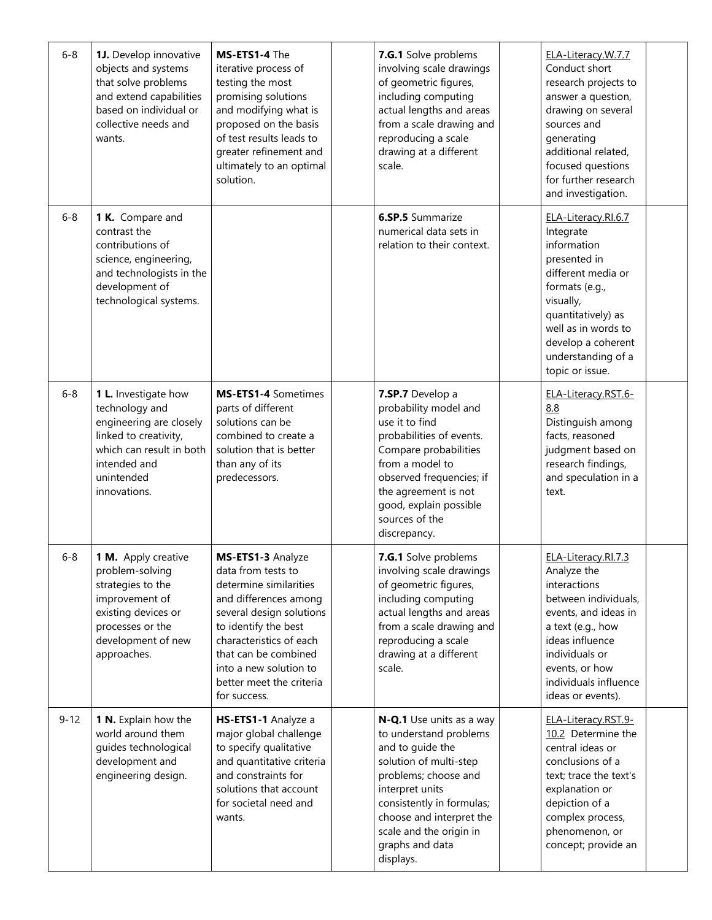| $6 - 8$  | 1J. Develop innovative<br>objects and systems<br>that solve problems<br>and extend capabilities<br>based on individual or<br>collective needs and<br>wants.          | MS-ETS1-4 The<br>iterative process of<br>testing the most<br>promising solutions<br>and modifying what is<br>proposed on the basis<br>of test results leads to<br>greater refinement and<br>ultimately to an optimal<br>solution.                                       | 7.G.1 Solve problems<br>involving scale drawings<br>of geometric figures,<br>including computing<br>actual lengths and areas<br>from a scale drawing and<br>reproducing a scale<br>drawing at a different<br>scale.                                             | ELA-Literacy.W.7.7<br>Conduct short<br>research projects to<br>answer a question,<br>drawing on several<br>sources and<br>generating<br>additional related,<br>focused questions<br>for further research<br>and investigation.   |  |
|----------|----------------------------------------------------------------------------------------------------------------------------------------------------------------------|-------------------------------------------------------------------------------------------------------------------------------------------------------------------------------------------------------------------------------------------------------------------------|-----------------------------------------------------------------------------------------------------------------------------------------------------------------------------------------------------------------------------------------------------------------|----------------------------------------------------------------------------------------------------------------------------------------------------------------------------------------------------------------------------------|--|
| $6 - 8$  | 1 K. Compare and<br>contrast the<br>contributions of<br>science, engineering,<br>and technologists in the<br>development of<br>technological systems.                |                                                                                                                                                                                                                                                                         | <b>6.SP.5</b> Summarize<br>numerical data sets in<br>relation to their context.                                                                                                                                                                                 | ELA-Literacy.RI.6.7<br>Integrate<br>information<br>presented in<br>different media or<br>formats (e.g.,<br>visually,<br>quantitatively) as<br>well as in words to<br>develop a coherent<br>understanding of a<br>topic or issue. |  |
| $6 - 8$  | 1 L. Investigate how<br>technology and<br>engineering are closely<br>linked to creativity,<br>which can result in both<br>intended and<br>unintended<br>innovations. | MS-ETS1-4 Sometimes<br>parts of different<br>solutions can be<br>combined to create a<br>solution that is better<br>than any of its<br>predecessors.                                                                                                                    | 7.SP.7 Develop a<br>probability model and<br>use it to find<br>probabilities of events.<br>Compare probabilities<br>from a model to<br>observed frequencies; if<br>the agreement is not<br>good, explain possible<br>sources of the<br>discrepancy.             | ELA-Literacy.RST.6-<br>8.8<br>Distinguish among<br>facts, reasoned<br>judgment based on<br>research findings,<br>and speculation in a<br>text.                                                                                   |  |
| $6 - 8$  | 1 M. Apply creative<br>problem-solving<br>strategies to the<br>improvement of<br>existing devices or<br>processes or the<br>development of new<br>approaches.        | MS-ETS1-3 Analyze<br>data from tests to<br>determine similarities<br>and differences among<br>several design solutions<br>to identify the best<br>characteristics of each<br>that can be combined<br>into a new solution to<br>better meet the criteria<br>for success. | 7.G.1 Solve problems<br>involving scale drawings<br>of geometric figures,<br>including computing<br>actual lengths and areas<br>from a scale drawing and<br>reproducing a scale<br>drawing at a different<br>scale.                                             | ELA-Literacy.RI.7.3<br>Analyze the<br>interactions<br>between individuals,<br>events, and ideas in<br>a text (e.g., how<br>ideas influence<br>individuals or<br>events, or how<br>individuals influence<br>ideas or events).     |  |
| $9 - 12$ | 1 N. Explain how the<br>world around them<br>guides technological<br>development and<br>engineering design.                                                          | HS-ETS1-1 Analyze a<br>major global challenge<br>to specify qualitative<br>and quantitative criteria<br>and constraints for<br>solutions that account<br>for societal need and<br>wants.                                                                                | N-Q.1 Use units as a way<br>to understand problems<br>and to guide the<br>solution of multi-step<br>problems; choose and<br>interpret units<br>consistently in formulas;<br>choose and interpret the<br>scale and the origin in<br>graphs and data<br>displays. | ELA-Literacy.RST.9-<br>10.2 Determine the<br>central ideas or<br>conclusions of a<br>text; trace the text's<br>explanation or<br>depiction of a<br>complex process,<br>phenomenon, or<br>concept; provide an                     |  |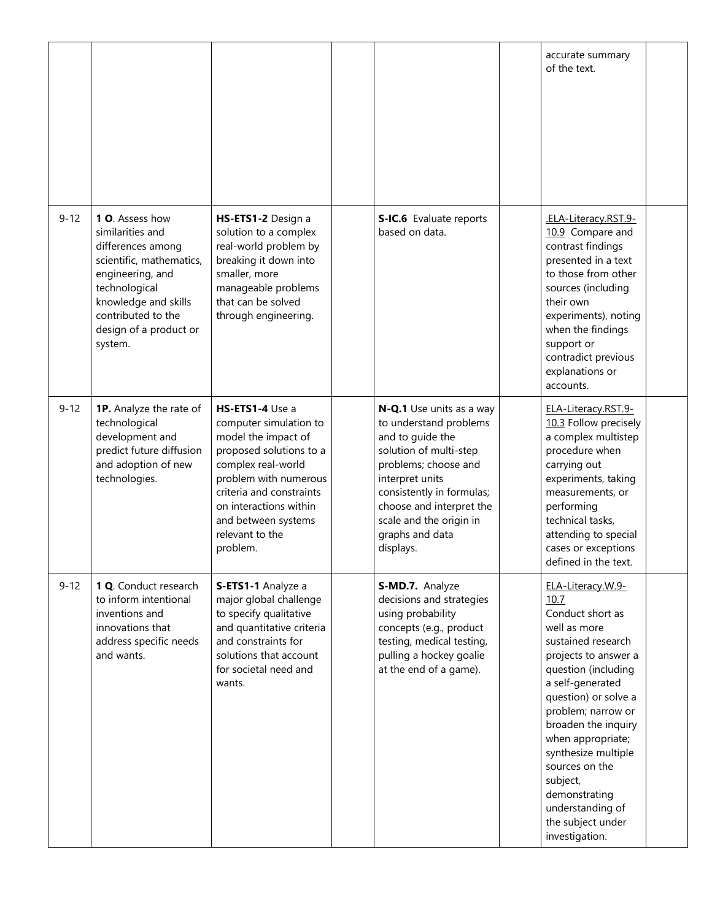|          |                                                                                                                                                                                                              |                                                                                                                                                                                                                                                        |                                                                                                                                                                                                                                                                 | accurate summary<br>of the text.                                                                                                                                                                                                                                                                                                                                                  |  |
|----------|--------------------------------------------------------------------------------------------------------------------------------------------------------------------------------------------------------------|--------------------------------------------------------------------------------------------------------------------------------------------------------------------------------------------------------------------------------------------------------|-----------------------------------------------------------------------------------------------------------------------------------------------------------------------------------------------------------------------------------------------------------------|-----------------------------------------------------------------------------------------------------------------------------------------------------------------------------------------------------------------------------------------------------------------------------------------------------------------------------------------------------------------------------------|--|
| $9 - 12$ | 1 O. Assess how<br>similarities and<br>differences among<br>scientific, mathematics,<br>engineering, and<br>technological<br>knowledge and skills<br>contributed to the<br>design of a product or<br>system. | HS-ETS1-2 Design a<br>solution to a complex<br>real-world problem by<br>breaking it down into<br>smaller, more<br>manageable problems<br>that can be solved<br>through engineering.                                                                    | S-IC.6 Evaluate reports<br>based on data.                                                                                                                                                                                                                       | .ELA-Literacy.RST.9-<br>10.9 Compare and<br>contrast findings<br>presented in a text<br>to those from other<br>sources (including<br>their own<br>experiments), noting<br>when the findings<br>support or<br>contradict previous<br>explanations or<br>accounts.                                                                                                                  |  |
| $9 - 12$ | <b>1P.</b> Analyze the rate of<br>technological<br>development and<br>predict future diffusion<br>and adoption of new<br>technologies.                                                                       | HS-ETS1-4 Use a<br>computer simulation to<br>model the impact of<br>proposed solutions to a<br>complex real-world<br>problem with numerous<br>criteria and constraints<br>on interactions within<br>and between systems<br>relevant to the<br>problem. | N-Q.1 Use units as a way<br>to understand problems<br>and to guide the<br>solution of multi-step<br>problems; choose and<br>interpret units<br>consistently in formulas;<br>choose and interpret the<br>scale and the origin in<br>graphs and data<br>displays. | ELA-Literacy.RST.9-<br>10.3 Follow precisely<br>a complex multistep<br>procedure when<br>carrying out<br>experiments, taking<br>measurements, or<br>performing<br>technical tasks,<br>attending to special<br>cases or exceptions<br>defined in the text.                                                                                                                         |  |
| $9 - 12$ | 1 Q. Conduct research<br>to inform intentional<br>inventions and<br>innovations that<br>address specific needs<br>and wants.                                                                                 | S-ETS1-1 Analyze a<br>major global challenge<br>to specify qualitative<br>and quantitative criteria<br>and constraints for<br>solutions that account<br>for societal need and<br>wants.                                                                | S-MD.7. Analyze<br>decisions and strategies<br>using probability<br>concepts (e.g., product<br>testing, medical testing,<br>pulling a hockey goalie<br>at the end of a game).                                                                                   | ELA-Literacy.W.9-<br>10.7<br>Conduct short as<br>well as more<br>sustained research<br>projects to answer a<br>question (including<br>a self-generated<br>question) or solve a<br>problem; narrow or<br>broaden the inquiry<br>when appropriate;<br>synthesize multiple<br>sources on the<br>subject,<br>demonstrating<br>understanding of<br>the subject under<br>investigation. |  |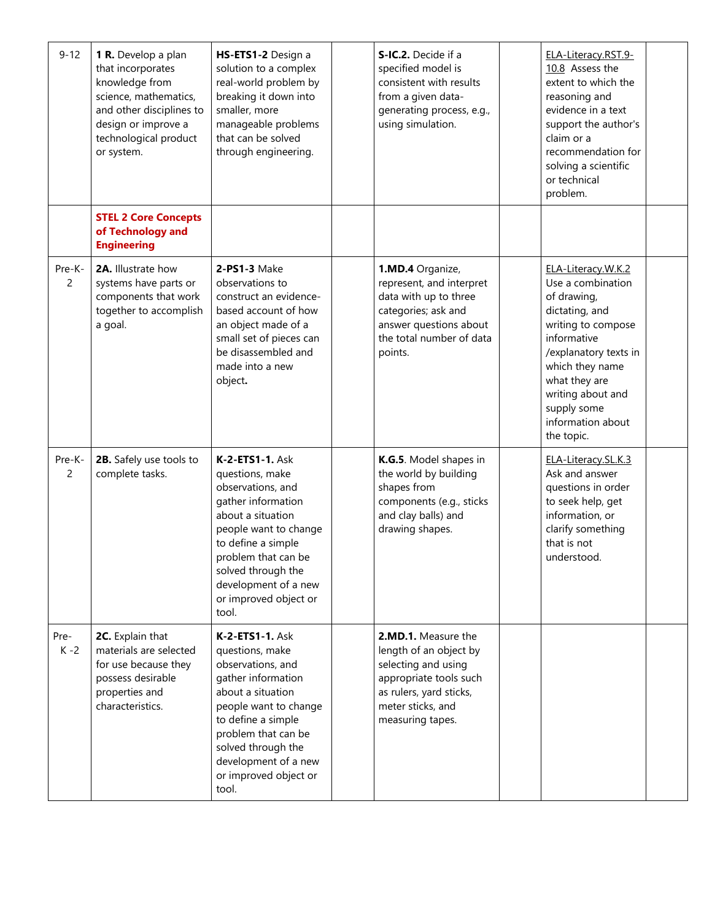| $9 - 12$                 | 1 R. Develop a plan<br>that incorporates<br>knowledge from<br>science, mathematics,<br>and other disciplines to<br>design or improve a<br>technological product<br>or system. | HS-ETS1-2 Design a<br>solution to a complex<br>real-world problem by<br>breaking it down into<br>smaller, more<br>manageable problems<br>that can be solved<br>through engineering.                                                                      | S-IC.2. Decide if a<br>specified model is<br>consistent with results<br>from a given data-<br>generating process, e.g.,<br>using simulation.                       | ELA-Literacy.RST.9-<br>10.8 Assess the<br>extent to which the<br>reasoning and<br>evidence in a text<br>support the author's<br>claim or a<br>recommendation for<br>solving a scientific<br>or technical<br>problem.                              |  |
|--------------------------|-------------------------------------------------------------------------------------------------------------------------------------------------------------------------------|----------------------------------------------------------------------------------------------------------------------------------------------------------------------------------------------------------------------------------------------------------|--------------------------------------------------------------------------------------------------------------------------------------------------------------------|---------------------------------------------------------------------------------------------------------------------------------------------------------------------------------------------------------------------------------------------------|--|
|                          | <b>STEL 2 Core Concepts</b><br>of Technology and<br><b>Engineering</b>                                                                                                        |                                                                                                                                                                                                                                                          |                                                                                                                                                                    |                                                                                                                                                                                                                                                   |  |
| Pre-K-<br>$\overline{2}$ | 2A. Illustrate how<br>systems have parts or<br>components that work<br>together to accomplish<br>a goal.                                                                      | 2-PS1-3 Make<br>observations to<br>construct an evidence-<br>based account of how<br>an object made of a<br>small set of pieces can<br>be disassembled and<br>made into a new<br>object.                                                                 | 1.MD.4 Organize,<br>represent, and interpret<br>data with up to three<br>categories; ask and<br>answer questions about<br>the total number of data<br>points.      | ELA-Literacy.W.K.2<br>Use a combination<br>of drawing,<br>dictating, and<br>writing to compose<br>informative<br>/explanatory texts in<br>which they name<br>what they are<br>writing about and<br>supply some<br>information about<br>the topic. |  |
| Pre-K-<br>2              | 2B. Safely use tools to<br>complete tasks.                                                                                                                                    | K-2-ETS1-1. Ask<br>questions, make<br>observations, and<br>gather information<br>about a situation<br>people want to change<br>to define a simple<br>problem that can be<br>solved through the<br>development of a new<br>or improved object or<br>tool. | K.G.5. Model shapes in<br>the world by building<br>shapes from<br>components (e.g., sticks<br>and clay balls) and<br>drawing shapes.                               | ELA-Literacy.SL.K.3<br>Ask and answer<br>questions in order<br>to seek help, get<br>information, or<br>clarify something<br>that is not<br>understood.                                                                                            |  |
| Pre-<br>$K - 2$          | 2C. Explain that<br>materials are selected<br>for use because they<br>possess desirable<br>properties and<br>characteristics.                                                 | K-2-ETS1-1. Ask<br>questions, make<br>observations, and<br>gather information<br>about a situation<br>people want to change<br>to define a simple<br>problem that can be<br>solved through the<br>development of a new<br>or improved object or<br>tool. | 2.MD.1. Measure the<br>length of an object by<br>selecting and using<br>appropriate tools such<br>as rulers, yard sticks,<br>meter sticks, and<br>measuring tapes. |                                                                                                                                                                                                                                                   |  |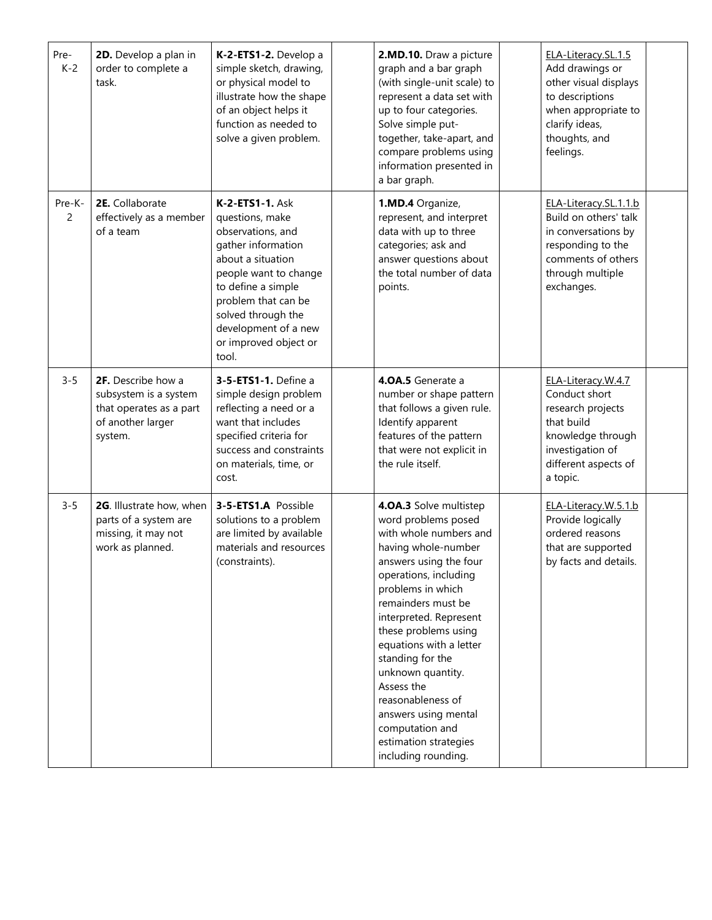| Pre-<br>$K-2$            | 2D. Develop a plan in<br>order to complete a<br>task.                                                  | K-2-ETS1-2. Develop a<br>simple sketch, drawing,<br>or physical model to<br>illustrate how the shape<br>of an object helps it<br>function as needed to<br>solve a given problem.                                                                                | 2.MD.10. Draw a picture<br>graph and a bar graph<br>(with single-unit scale) to<br>represent a data set with<br>up to four categories.<br>Solve simple put-<br>together, take-apart, and<br>compare problems using<br>information presented in<br>a bar graph.                                                                                                                                                                                   | ELA-Literacy.SL.1.5<br>Add drawings or<br>other visual displays<br>to descriptions<br>when appropriate to<br>clarify ideas,<br>thoughts, and<br>feelings. |  |
|--------------------------|--------------------------------------------------------------------------------------------------------|-----------------------------------------------------------------------------------------------------------------------------------------------------------------------------------------------------------------------------------------------------------------|--------------------------------------------------------------------------------------------------------------------------------------------------------------------------------------------------------------------------------------------------------------------------------------------------------------------------------------------------------------------------------------------------------------------------------------------------|-----------------------------------------------------------------------------------------------------------------------------------------------------------|--|
| Pre-K-<br>$\overline{2}$ | 2E. Collaborate<br>effectively as a member<br>of a team                                                | <b>K-2-ETS1-1. Ask</b><br>questions, make<br>observations, and<br>gather information<br>about a situation<br>people want to change<br>to define a simple<br>problem that can be<br>solved through the<br>development of a new<br>or improved object or<br>tool. | 1.MD.4 Organize,<br>represent, and interpret<br>data with up to three<br>categories; ask and<br>answer questions about<br>the total number of data<br>points.                                                                                                                                                                                                                                                                                    | ELA-Literacy.SL.1.1.b<br>Build on others' talk<br>in conversations by<br>responding to the<br>comments of others<br>through multiple<br>exchanges.        |  |
| $3 - 5$                  | 2F. Describe how a<br>subsystem is a system<br>that operates as a part<br>of another larger<br>system. | 3-5-ETS1-1. Define a<br>simple design problem<br>reflecting a need or a<br>want that includes<br>specified criteria for<br>success and constraints<br>on materials, time, or<br>cost.                                                                           | 4.0A.5 Generate a<br>number or shape pattern<br>that follows a given rule.<br>Identify apparent<br>features of the pattern<br>that were not explicit in<br>the rule itself.                                                                                                                                                                                                                                                                      | ELA-Literacy.W.4.7<br>Conduct short<br>research projects<br>that build<br>knowledge through<br>investigation of<br>different aspects of<br>a topic.       |  |
| $3 - 5$                  | 2G. Illustrate how, when<br>parts of a system are<br>missing, it may not<br>work as planned.           | 3-5-ETS1.A Possible<br>solutions to a problem<br>are limited by available<br>materials and resources<br>(constraints).                                                                                                                                          | 4.0A.3 Solve multistep<br>word problems posed<br>with whole numbers and<br>having whole-number<br>answers using the four<br>operations, including<br>problems in which<br>remainders must be<br>interpreted. Represent<br>these problems using<br>equations with a letter<br>standing for the<br>unknown quantity.<br>Assess the<br>reasonableness of<br>answers using mental<br>computation and<br>estimation strategies<br>including rounding. | ELA-Literacy.W.5.1.b<br>Provide logically<br>ordered reasons<br>that are supported<br>by facts and details.                                               |  |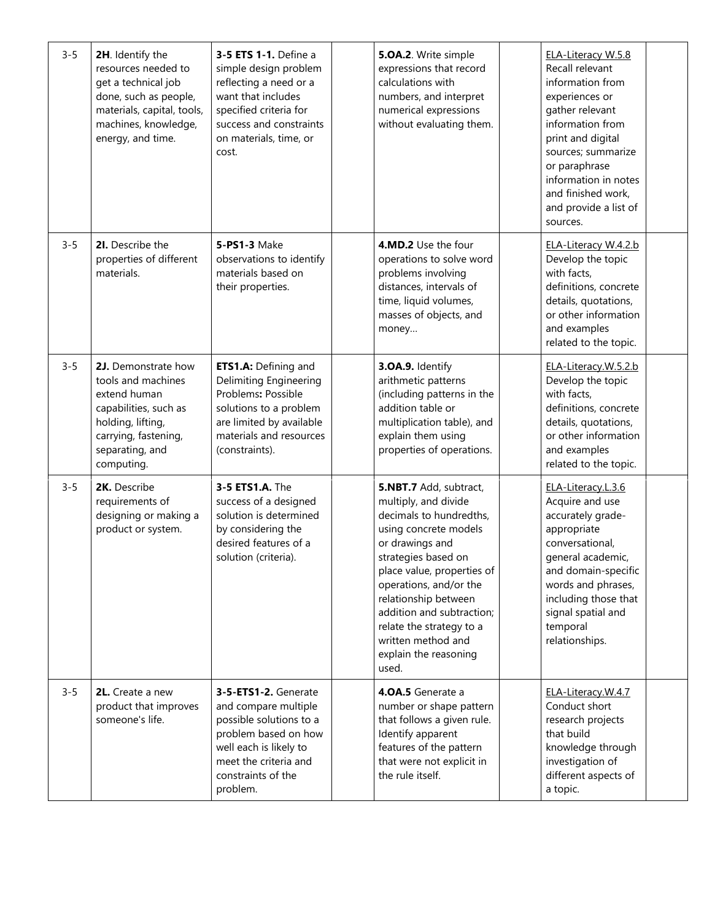| $3 - 5$ | 2H. Identify the<br>resources needed to<br>get a technical job<br>done, such as people,<br>materials, capital, tools,<br>machines, knowledge,<br>energy, and time. | 3-5 ETS 1-1. Define a<br>simple design problem<br>reflecting a need or a<br>want that includes<br>specified criteria for<br>success and constraints<br>on materials, time, or<br>cost. | 5.OA.2. Write simple<br>expressions that record<br>calculations with<br>numbers, and interpret<br>numerical expressions<br>without evaluating them.                                                                                                                                                                                           | ELA-Literacy W.5.8<br>Recall relevant<br>information from<br>experiences or<br>gather relevant<br>information from<br>print and digital<br>sources; summarize<br>or paraphrase<br>information in notes<br>and finished work,<br>and provide a list of<br>sources. |  |
|---------|--------------------------------------------------------------------------------------------------------------------------------------------------------------------|----------------------------------------------------------------------------------------------------------------------------------------------------------------------------------------|-----------------------------------------------------------------------------------------------------------------------------------------------------------------------------------------------------------------------------------------------------------------------------------------------------------------------------------------------|-------------------------------------------------------------------------------------------------------------------------------------------------------------------------------------------------------------------------------------------------------------------|--|
| $3 - 5$ | 2I. Describe the<br>properties of different<br>materials.                                                                                                          | 5-PS1-3 Make<br>observations to identify<br>materials based on<br>their properties.                                                                                                    | 4.MD.2 Use the four<br>operations to solve word<br>problems involving<br>distances, intervals of<br>time, liquid volumes,<br>masses of objects, and<br>money                                                                                                                                                                                  | ELA-Literacy W.4.2.b<br>Develop the topic<br>with facts,<br>definitions, concrete<br>details, quotations,<br>or other information<br>and examples<br>related to the topic.                                                                                        |  |
| $3 - 5$ | 2J. Demonstrate how<br>tools and machines<br>extend human<br>capabilities, such as<br>holding, lifting,<br>carrying, fastening,<br>separating, and<br>computing.   | ETS1.A: Defining and<br>Delimiting Engineering<br>Problems: Possible<br>solutions to a problem<br>are limited by available<br>materials and resources<br>(constraints).                | 3.OA.9. Identify<br>arithmetic patterns<br>(including patterns in the<br>addition table or<br>multiplication table), and<br>explain them using<br>properties of operations.                                                                                                                                                                   | ELA-Literacy.W.5.2.b<br>Develop the topic<br>with facts,<br>definitions, concrete<br>details, quotations,<br>or other information<br>and examples<br>related to the topic.                                                                                        |  |
| $3 - 5$ | 2K. Describe<br>requirements of<br>designing or making a<br>product or system.                                                                                     | 3-5 ETS1.A. The<br>success of a designed<br>solution is determined<br>by considering the<br>desired features of a<br>solution (criteria).                                              | 5.NBT.7 Add, subtract,<br>multiply, and divide<br>decimals to hundredths,<br>using concrete models<br>or drawings and<br>strategies based on<br>place value, properties of<br>operations, and/or the<br>relationship between<br>addition and subtraction;<br>relate the strategy to a<br>written method and<br>explain the reasoning<br>used. | ELA-Literacy.L.3.6<br>Acquire and use<br>accurately grade-<br>appropriate<br>conversational,<br>general academic,<br>and domain-specific<br>words and phrases,<br>including those that<br>signal spatial and<br>temporal<br>relationships.                        |  |
| $3 - 5$ | 2L. Create a new<br>product that improves<br>someone's life.                                                                                                       | 3-5-ETS1-2. Generate<br>and compare multiple<br>possible solutions to a<br>problem based on how<br>well each is likely to<br>meet the criteria and<br>constraints of the<br>problem.   | 4.0A.5 Generate a<br>number or shape pattern<br>that follows a given rule.<br>Identify apparent<br>features of the pattern<br>that were not explicit in<br>the rule itself.                                                                                                                                                                   | ELA-Literacy.W.4.7<br>Conduct short<br>research projects<br>that build<br>knowledge through<br>investigation of<br>different aspects of<br>a topic.                                                                                                               |  |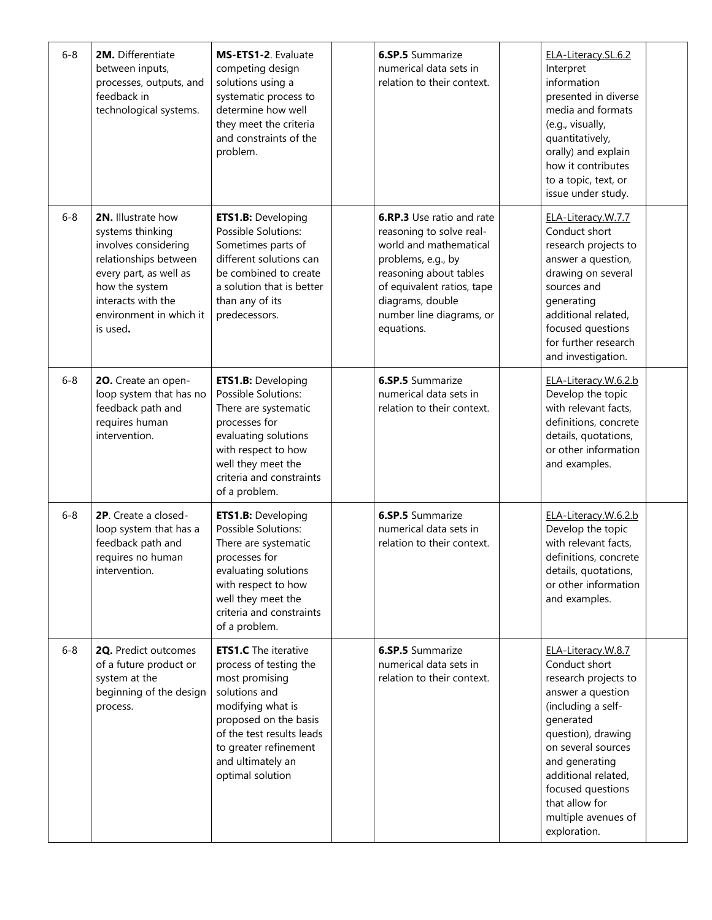| $6 - 8$ | 2M. Differentiate<br>between inputs,<br>processes, outputs, and<br>feedback in<br>technological systems.                                                                                                | MS-ETS1-2. Evaluate<br>competing design<br>solutions using a<br>systematic process to<br>determine how well<br>they meet the criteria<br>and constraints of the<br>problem.                                                           | <b>6.SP.5</b> Summarize<br>numerical data sets in<br>relation to their context.                                                                                                                                                    | ELA-Literacy.SL.6.2<br>Interpret<br>information<br>presented in diverse<br>media and formats<br>(e.g., visually,<br>quantitatively,<br>orally) and explain<br>how it contributes<br>to a topic, text, or<br>issue under study.                                                         |  |
|---------|---------------------------------------------------------------------------------------------------------------------------------------------------------------------------------------------------------|---------------------------------------------------------------------------------------------------------------------------------------------------------------------------------------------------------------------------------------|------------------------------------------------------------------------------------------------------------------------------------------------------------------------------------------------------------------------------------|----------------------------------------------------------------------------------------------------------------------------------------------------------------------------------------------------------------------------------------------------------------------------------------|--|
| $6 - 8$ | <b>2N.</b> Illustrate how<br>systems thinking<br>involves considering<br>relationships between<br>every part, as well as<br>how the system<br>interacts with the<br>environment in which it<br>is used. | <b>ETS1.B: Developing</b><br>Possible Solutions:<br>Sometimes parts of<br>different solutions can<br>be combined to create<br>a solution that is better<br>than any of its<br>predecessors.                                           | <b>6.RP.3</b> Use ratio and rate<br>reasoning to solve real-<br>world and mathematical<br>problems, e.g., by<br>reasoning about tables<br>of equivalent ratios, tape<br>diagrams, double<br>number line diagrams, or<br>equations. | ELA-Literacy.W.7.7<br>Conduct short<br>research projects to<br>answer a question,<br>drawing on several<br>sources and<br>generating<br>additional related,<br>focused questions<br>for further research<br>and investigation.                                                         |  |
| $6 - 8$ | 20. Create an open-<br>loop system that has no<br>feedback path and<br>requires human<br>intervention.                                                                                                  | <b>ETS1.B: Developing</b><br>Possible Solutions:<br>There are systematic<br>processes for<br>evaluating solutions<br>with respect to how<br>well they meet the<br>criteria and constraints<br>of a problem.                           | <b>6.SP.5</b> Summarize<br>numerical data sets in<br>relation to their context.                                                                                                                                                    | ELA-Literacy.W.6.2.b<br>Develop the topic<br>with relevant facts,<br>definitions, concrete<br>details, quotations,<br>or other information<br>and examples.                                                                                                                            |  |
| $6 - 8$ | 2P. Create a closed-<br>loop system that has a<br>feedback path and<br>requires no human<br>intervention.                                                                                               | ETS1.B: Developing<br>Possible Solutions:<br>There are systematic<br>processes for<br>evaluating solutions<br>with respect to how<br>well they meet the<br>criteria and constraints<br>of a problem.                                  | <b>6.SP.5</b> Summarize<br>numerical data sets in<br>relation to their context.                                                                                                                                                    | ELA-Literacy.W.6.2.b<br>Develop the topic<br>with relevant facts,<br>definitions, concrete<br>details, quotations,<br>or other information<br>and examples.                                                                                                                            |  |
| $6 - 8$ | 2Q. Predict outcomes<br>of a future product or<br>system at the<br>beginning of the design<br>process.                                                                                                  | <b>ETS1.C</b> The iterative<br>process of testing the<br>most promising<br>solutions and<br>modifying what is<br>proposed on the basis<br>of the test results leads<br>to greater refinement<br>and ultimately an<br>optimal solution | <b>6.SP.5</b> Summarize<br>numerical data sets in<br>relation to their context.                                                                                                                                                    | ELA-Literacy.W.8.7<br>Conduct short<br>research projects to<br>answer a question<br>(including a self-<br>generated<br>question), drawing<br>on several sources<br>and generating<br>additional related,<br>focused questions<br>that allow for<br>multiple avenues of<br>exploration. |  |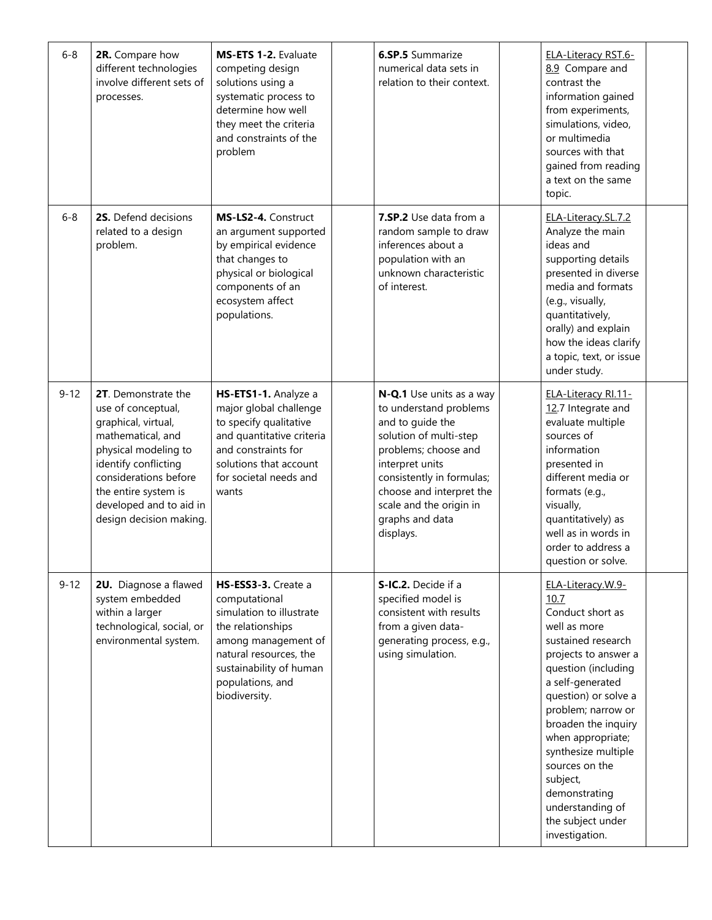| $6 - 8$  | 2R. Compare how<br>different technologies<br>involve different sets of<br>processes.                                                                                                                                                         | MS-ETS 1-2. Evaluate<br>competing design<br>solutions using a<br>systematic process to<br>determine how well<br>they meet the criteria<br>and constraints of the<br>problem                            | <b>6.SP.5</b> Summarize<br>numerical data sets in<br>relation to their context.                                                                                                                                                                                 | <b>ELA-Literacy RST.6-</b><br>8.9 Compare and<br>contrast the<br>information gained<br>from experiments,<br>simulations, video,<br>or multimedia<br>sources with that<br>gained from reading<br>a text on the same<br>topic.                                                                                                                                                      |  |
|----------|----------------------------------------------------------------------------------------------------------------------------------------------------------------------------------------------------------------------------------------------|--------------------------------------------------------------------------------------------------------------------------------------------------------------------------------------------------------|-----------------------------------------------------------------------------------------------------------------------------------------------------------------------------------------------------------------------------------------------------------------|-----------------------------------------------------------------------------------------------------------------------------------------------------------------------------------------------------------------------------------------------------------------------------------------------------------------------------------------------------------------------------------|--|
| $6 - 8$  | 2S. Defend decisions<br>related to a design<br>problem.                                                                                                                                                                                      | MS-LS2-4. Construct<br>an argument supported<br>by empirical evidence<br>that changes to<br>physical or biological<br>components of an<br>ecosystem affect<br>populations.                             | <b>7.SP.2</b> Use data from a<br>random sample to draw<br>inferences about a<br>population with an<br>unknown characteristic<br>of interest.                                                                                                                    | ELA-Literacy.SL.7.2<br>Analyze the main<br>ideas and<br>supporting details<br>presented in diverse<br>media and formats<br>(e.g., visually,<br>quantitatively,<br>orally) and explain<br>how the ideas clarify<br>a topic, text, or issue<br>under study.                                                                                                                         |  |
| $9 - 12$ | 2T. Demonstrate the<br>use of conceptual,<br>graphical, virtual,<br>mathematical, and<br>physical modeling to<br>identify conflicting<br>considerations before<br>the entire system is<br>developed and to aid in<br>design decision making. | HS-ETS1-1. Analyze a<br>major global challenge<br>to specify qualitative<br>and quantitative criteria<br>and constraints for<br>solutions that account<br>for societal needs and<br>wants              | N-Q.1 Use units as a way<br>to understand problems<br>and to guide the<br>solution of multi-step<br>problems; choose and<br>interpret units<br>consistently in formulas;<br>choose and interpret the<br>scale and the origin in<br>graphs and data<br>displays. | ELA-Literacy RI.11-<br>12.7 Integrate and<br>evaluate multiple<br>sources of<br>information<br>presented in<br>different media or<br>formats (e.g.,<br>visually,<br>quantitatively) as<br>well as in words in<br>order to address a<br>question or solve.                                                                                                                         |  |
| $9 - 12$ | 2U. Diagnose a flawed<br>system embedded<br>within a larger<br>technological, social, or<br>environmental system.                                                                                                                            | HS-ESS3-3. Create a<br>computational<br>simulation to illustrate<br>the relationships<br>among management of<br>natural resources, the<br>sustainability of human<br>populations, and<br>biodiversity. | S-IC.2. Decide if a<br>specified model is<br>consistent with results<br>from a given data-<br>generating process, e.g.,<br>using simulation.                                                                                                                    | ELA-Literacy.W.9-<br>10.7<br>Conduct short as<br>well as more<br>sustained research<br>projects to answer a<br>question (including<br>a self-generated<br>question) or solve a<br>problem; narrow or<br>broaden the inquiry<br>when appropriate;<br>synthesize multiple<br>sources on the<br>subject,<br>demonstrating<br>understanding of<br>the subject under<br>investigation. |  |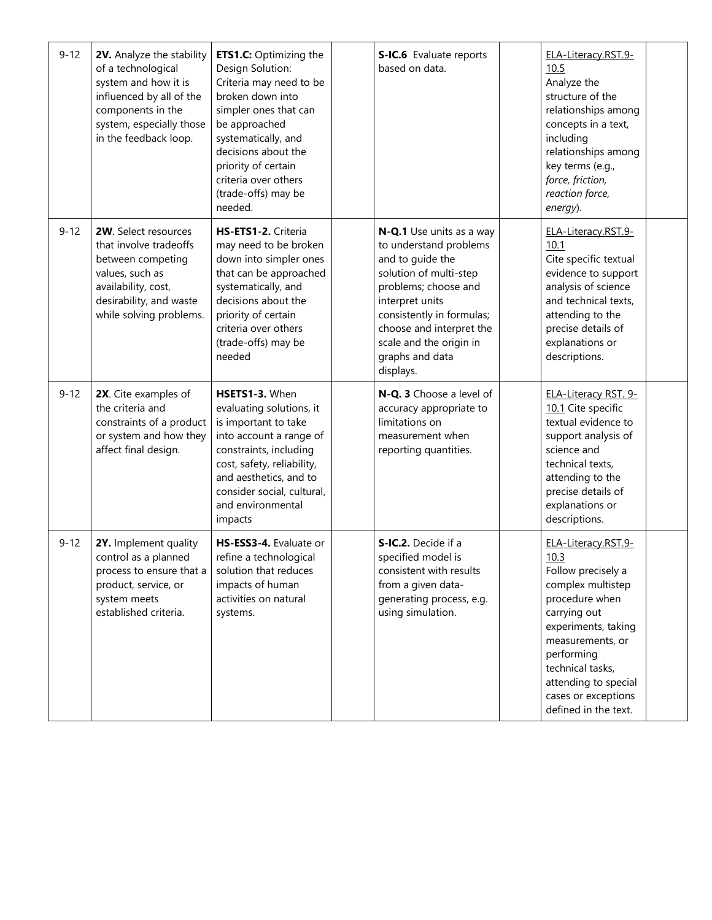| $9 - 12$ | 2V. Analyze the stability<br>of a technological<br>system and how it is<br>influenced by all of the<br>components in the<br>system, especially those<br>in the feedback loop. | <b>ETS1.C:</b> Optimizing the<br>Design Solution:<br>Criteria may need to be<br>broken down into<br>simpler ones that can<br>be approached<br>systematically, and<br>decisions about the<br>priority of certain<br>criteria over others<br>(trade-offs) may be<br>needed. | S-IC.6 Evaluate reports<br>based on data.                                                                                                                                                                                                                       | ELA-Literacy.RST.9-<br>10.5<br>Analyze the<br>structure of the<br>relationships among<br>concepts in a text,<br>including<br>relationships among<br>key terms (e.g.,<br>force, friction,<br>reaction force,<br>energy).                                      |  |
|----------|-------------------------------------------------------------------------------------------------------------------------------------------------------------------------------|---------------------------------------------------------------------------------------------------------------------------------------------------------------------------------------------------------------------------------------------------------------------------|-----------------------------------------------------------------------------------------------------------------------------------------------------------------------------------------------------------------------------------------------------------------|--------------------------------------------------------------------------------------------------------------------------------------------------------------------------------------------------------------------------------------------------------------|--|
| $9 - 12$ | 2W. Select resources<br>that involve tradeoffs<br>between competing<br>values, such as<br>availability, cost,<br>desirability, and waste<br>while solving problems.           | HS-ETS1-2. Criteria<br>may need to be broken<br>down into simpler ones<br>that can be approached<br>systematically, and<br>decisions about the<br>priority of certain<br>criteria over others<br>(trade-offs) may be<br>needed                                            | N-Q.1 Use units as a way<br>to understand problems<br>and to guide the<br>solution of multi-step<br>problems; choose and<br>interpret units<br>consistently in formulas;<br>choose and interpret the<br>scale and the origin in<br>graphs and data<br>displays. | ELA-Literacy.RST.9-<br>10.1<br>Cite specific textual<br>evidence to support<br>analysis of science<br>and technical texts,<br>attending to the<br>precise details of<br>explanations or<br>descriptions.                                                     |  |
| $9 - 12$ | 2X. Cite examples of<br>the criteria and<br>constraints of a product<br>or system and how they<br>affect final design.                                                        | HSETS1-3. When<br>evaluating solutions, it<br>is important to take<br>into account a range of<br>constraints, including<br>cost, safety, reliability,<br>and aesthetics, and to<br>consider social, cultural,<br>and environmental<br>impacts                             | N-Q. 3 Choose a level of<br>accuracy appropriate to<br>limitations on<br>measurement when<br>reporting quantities.                                                                                                                                              | ELA-Literacy RST. 9-<br>10.1 Cite specific<br>textual evidence to<br>support analysis of<br>science and<br>technical texts,<br>attending to the<br>precise details of<br>explanations or<br>descriptions.                                                    |  |
| $9 - 12$ | 2Y. Implement quality<br>control as a planned<br>process to ensure that a<br>product, service, or<br>system meets<br>established criteria.                                    | HS-ESS3-4. Evaluate or<br>refine a technological<br>solution that reduces<br>impacts of human<br>activities on natural<br>systems.                                                                                                                                        | S-IC.2. Decide if a<br>specified model is<br>consistent with results<br>from a given data-<br>generating process, e.g.<br>using simulation.                                                                                                                     | ELA-Literacy.RST.9-<br>10.3<br>Follow precisely a<br>complex multistep<br>procedure when<br>carrying out<br>experiments, taking<br>measurements, or<br>performing<br>technical tasks,<br>attending to special<br>cases or exceptions<br>defined in the text. |  |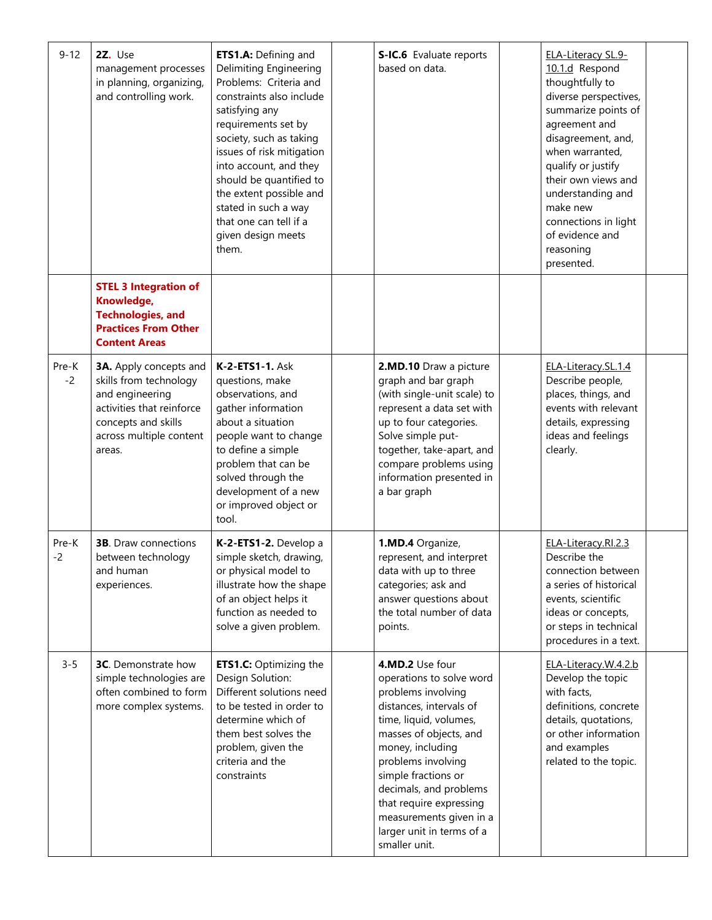| $9 - 12$      | 2Z. Use<br>management processes<br>in planning, organizing,<br>and controlling work.                                                                                | ETS1.A: Defining and<br>Delimiting Engineering<br>Problems: Criteria and<br>constraints also include<br>satisfying any<br>requirements set by<br>society, such as taking<br>issues of risk mitigation<br>into account, and they<br>should be quantified to<br>the extent possible and<br>stated in such a way<br>that one can tell if a<br>given design meets<br>them. | S-IC.6 Evaluate reports<br>based on data.                                                                                                                                                                                                                                                                                                       | ELA-Literacy SL.9-<br>10.1.d Respond<br>thoughtfully to<br>diverse perspectives,<br>summarize points of<br>agreement and<br>disagreement, and,<br>when warranted,<br>qualify or justify<br>their own views and<br>understanding and<br>make new<br>connections in light<br>of evidence and<br>reasoning<br>presented. |  |
|---------------|---------------------------------------------------------------------------------------------------------------------------------------------------------------------|------------------------------------------------------------------------------------------------------------------------------------------------------------------------------------------------------------------------------------------------------------------------------------------------------------------------------------------------------------------------|-------------------------------------------------------------------------------------------------------------------------------------------------------------------------------------------------------------------------------------------------------------------------------------------------------------------------------------------------|-----------------------------------------------------------------------------------------------------------------------------------------------------------------------------------------------------------------------------------------------------------------------------------------------------------------------|--|
|               | <b>STEL 3 Integration of</b><br>Knowledge,<br><b>Technologies, and</b><br><b>Practices From Other</b><br><b>Content Areas</b>                                       |                                                                                                                                                                                                                                                                                                                                                                        |                                                                                                                                                                                                                                                                                                                                                 |                                                                                                                                                                                                                                                                                                                       |  |
| Pre-K<br>$-2$ | <b>3A.</b> Apply concepts and<br>skills from technology<br>and engineering<br>activities that reinforce<br>concepts and skills<br>across multiple content<br>areas. | <b>K-2-ETS1-1. Ask</b><br>questions, make<br>observations, and<br>gather information<br>about a situation<br>people want to change<br>to define a simple<br>problem that can be<br>solved through the<br>development of a new<br>or improved object or<br>tool.                                                                                                        | 2.MD.10 Draw a picture<br>graph and bar graph<br>(with single-unit scale) to<br>represent a data set with<br>up to four categories.<br>Solve simple put-<br>together, take-apart, and<br>compare problems using<br>information presented in<br>a bar graph                                                                                      | ELA-Literacy.SL.1.4<br>Describe people,<br>places, things, and<br>events with relevant<br>details, expressing<br>ideas and feelings<br>clearly.                                                                                                                                                                       |  |
| Pre-K<br>$-2$ | <b>3B.</b> Draw connections<br>between technology<br>and human<br>experiences.                                                                                      | K-2-ETS1-2. Develop a<br>simple sketch, drawing,<br>or physical model to<br>illustrate how the shape<br>of an object helps it<br>function as needed to<br>solve a given problem.                                                                                                                                                                                       | 1.MD.4 Organize,<br>represent, and interpret<br>data with up to three<br>categories; ask and<br>answer questions about<br>the total number of data<br>points.                                                                                                                                                                                   | ELA-Literacy.RI.2.3<br>Describe the<br>connection between<br>a series of historical<br>events, scientific<br>ideas or concepts,<br>or steps in technical<br>procedures in a text.                                                                                                                                     |  |
| $3 - 5$       | <b>3C.</b> Demonstrate how<br>simple technologies are<br>often combined to form<br>more complex systems.                                                            | <b>ETS1.C: Optimizing the</b><br>Design Solution:<br>Different solutions need<br>to be tested in order to<br>determine which of<br>them best solves the<br>problem, given the<br>criteria and the<br>constraints                                                                                                                                                       | 4.MD.2 Use four<br>operations to solve word<br>problems involving<br>distances, intervals of<br>time, liquid, volumes,<br>masses of objects, and<br>money, including<br>problems involving<br>simple fractions or<br>decimals, and problems<br>that require expressing<br>measurements given in a<br>larger unit in terms of a<br>smaller unit. | ELA-Literacy.W.4.2.b<br>Develop the topic<br>with facts,<br>definitions, concrete<br>details, quotations,<br>or other information<br>and examples<br>related to the topic.                                                                                                                                            |  |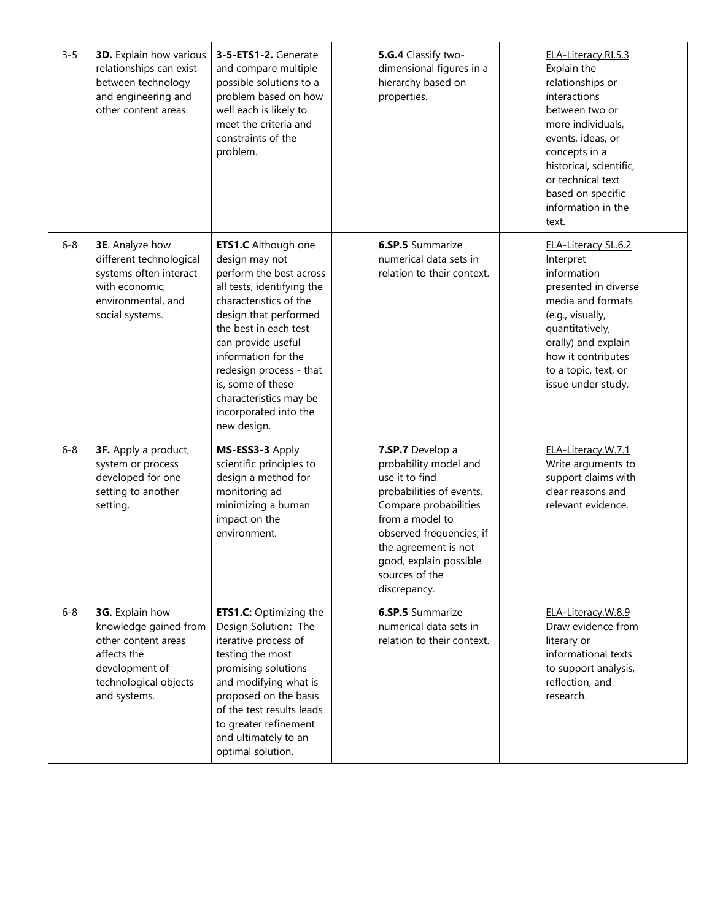| $3 - 5$ | <b>3D.</b> Explain how various<br>relationships can exist<br>between technology<br>and engineering and<br>other content areas.            | 3-5-ETS1-2. Generate<br>and compare multiple<br>possible solutions to a<br>problem based on how<br>well each is likely to<br>meet the criteria and<br>constraints of the<br>problem.                                                                                                                                                             | 5.G.4 Classify two-<br>dimensional figures in a<br>hierarchy based on<br>properties.                                                                                                                                                                | ELA-Literacy.RI.5.3<br>Explain the<br>relationships or<br>interactions<br>between two or<br>more individuals,<br>events, ideas, or<br>concepts in a<br>historical, scientific,<br>or technical text<br>based on specific<br>information in the<br>text. |  |
|---------|-------------------------------------------------------------------------------------------------------------------------------------------|--------------------------------------------------------------------------------------------------------------------------------------------------------------------------------------------------------------------------------------------------------------------------------------------------------------------------------------------------|-----------------------------------------------------------------------------------------------------------------------------------------------------------------------------------------------------------------------------------------------------|---------------------------------------------------------------------------------------------------------------------------------------------------------------------------------------------------------------------------------------------------------|--|
| $6 - 8$ | <b>3E</b> . Analyze how<br>different technological<br>systems often interact<br>with economic,<br>environmental, and<br>social systems.   | <b>ETS1.C</b> Although one<br>design may not<br>perform the best across<br>all tests, identifying the<br>characteristics of the<br>design that performed<br>the best in each test<br>can provide useful<br>information for the<br>redesign process - that<br>is, some of these<br>characteristics may be<br>incorporated into the<br>new design. | <b>6.SP.5</b> Summarize<br>numerical data sets in<br>relation to their context.                                                                                                                                                                     | ELA-Literacy SL.6.2<br>Interpret<br>information<br>presented in diverse<br>media and formats<br>(e.g., visually,<br>quantitatively,<br>orally) and explain<br>how it contributes<br>to a topic, text, or<br>issue under study.                          |  |
| $6 - 8$ | 3F. Apply a product,<br>system or process<br>developed for one<br>setting to another<br>setting.                                          | MS-ESS3-3 Apply<br>scientific principles to<br>design a method for<br>monitoring ad<br>minimizing a human<br>impact on the<br>environment.                                                                                                                                                                                                       | 7.SP.7 Develop a<br>probability model and<br>use it to find<br>probabilities of events.<br>Compare probabilities<br>from a model to<br>observed frequencies; if<br>the agreement is not<br>good, explain possible<br>sources of the<br>discrepancy. | ELA-Literacy.W.7.1<br>Write arguments to<br>support claims with<br>clear reasons and<br>relevant evidence.                                                                                                                                              |  |
| $6 - 8$ | 3G. Explain how<br>knowledge gained from<br>other content areas<br>affects the<br>development of<br>technological objects<br>and systems. | <b>ETS1.C:</b> Optimizing the<br>Design Solution: The<br>iterative process of<br>testing the most<br>promising solutions<br>and modifying what is<br>proposed on the basis<br>of the test results leads<br>to greater refinement<br>and ultimately to an<br>optimal solution.                                                                    | <b>6.SP.5</b> Summarize<br>numerical data sets in<br>relation to their context.                                                                                                                                                                     | ELA-Literacy.W.8.9<br>Draw evidence from<br>literary or<br>informational texts<br>to support analysis,<br>reflection, and<br>research.                                                                                                                  |  |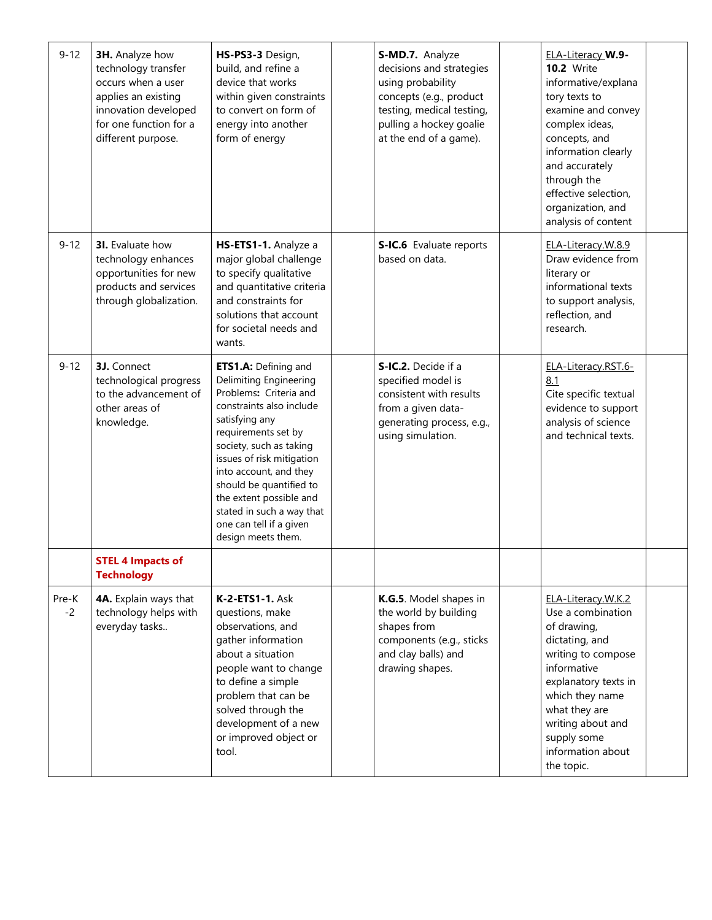| $9 - 12$      | 3H. Analyze how<br>technology transfer<br>occurs when a user<br>applies an existing<br>innovation developed<br>for one function for a<br>different purpose. | HS-PS3-3 Design,<br>build, and refine a<br>device that works<br>within given constraints<br>to convert on form of<br>energy into another<br>form of energy                                                                                                                                                                                                          | S-MD.7. Analyze<br>decisions and strategies<br>using probability<br>concepts (e.g., product<br>testing, medical testing,<br>pulling a hockey goalie<br>at the end of a game). | <b>ELA-Literacy W.9-</b><br><b>10.2</b> Write<br>informative/explana<br>tory texts to<br>examine and convey<br>complex ideas,<br>concepts, and<br>information clearly<br>and accurately<br>through the<br>effective selection,<br>organization, and<br>analysis of content |  |
|---------------|-------------------------------------------------------------------------------------------------------------------------------------------------------------|---------------------------------------------------------------------------------------------------------------------------------------------------------------------------------------------------------------------------------------------------------------------------------------------------------------------------------------------------------------------|-------------------------------------------------------------------------------------------------------------------------------------------------------------------------------|----------------------------------------------------------------------------------------------------------------------------------------------------------------------------------------------------------------------------------------------------------------------------|--|
| $9 - 12$      | <b>3I.</b> Evaluate how<br>technology enhances<br>opportunities for new<br>products and services<br>through globalization.                                  | HS-ETS1-1. Analyze a<br>major global challenge<br>to specify qualitative<br>and quantitative criteria<br>and constraints for<br>solutions that account<br>for societal needs and<br>wants.                                                                                                                                                                          | S-IC.6 Evaluate reports<br>based on data.                                                                                                                                     | ELA-Literacy.W.8.9<br>Draw evidence from<br>literary or<br>informational texts<br>to support analysis,<br>reflection, and<br>research.                                                                                                                                     |  |
| $9 - 12$      | 3J. Connect<br>technological progress<br>to the advancement of<br>other areas of<br>knowledge.                                                              | ETS1.A: Defining and<br>Delimiting Engineering<br>Problems: Criteria and<br>constraints also include<br>satisfying any<br>requirements set by<br>society, such as taking<br>issues of risk mitigation<br>into account, and they<br>should be quantified to<br>the extent possible and<br>stated in such a way that<br>one can tell if a given<br>design meets them. | S-IC.2. Decide if a<br>specified model is<br>consistent with results<br>from a given data-<br>generating process, e.g.,<br>using simulation.                                  | ELA-Literacy.RST.6-<br>8.1<br>Cite specific textual<br>evidence to support<br>analysis of science<br>and technical texts.                                                                                                                                                  |  |
|               | <b>STEL 4 Impacts of</b><br><b>Technology</b>                                                                                                               |                                                                                                                                                                                                                                                                                                                                                                     |                                                                                                                                                                               |                                                                                                                                                                                                                                                                            |  |
| Pre-K<br>$-2$ | 4A. Explain ways that<br>technology helps with<br>everyday tasks                                                                                            | <b>K-2-ETS1-1. Ask</b><br>questions, make<br>observations, and<br>gather information<br>about a situation<br>people want to change<br>to define a simple<br>problem that can be<br>solved through the<br>development of a new<br>or improved object or<br>tool.                                                                                                     | K.G.5. Model shapes in<br>the world by building<br>shapes from<br>components (e.g., sticks<br>and clay balls) and<br>drawing shapes.                                          | ELA-Literacy.W.K.2<br>Use a combination<br>of drawing,<br>dictating, and<br>writing to compose<br>informative<br>explanatory texts in<br>which they name<br>what they are<br>writing about and<br>supply some<br>information about<br>the topic.                           |  |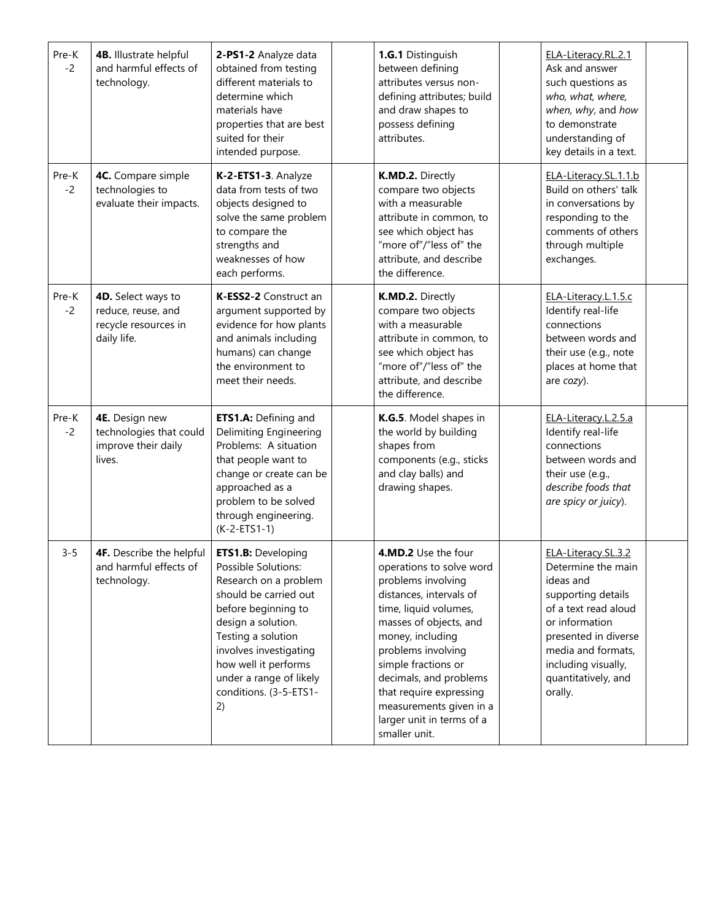| Pre-K<br>$-2$ | 4B. Illustrate helpful<br>and harmful effects of<br>technology.                 | 2-PS1-2 Analyze data<br>obtained from testing<br>different materials to<br>determine which<br>materials have<br>properties that are best<br>suited for their<br>intended purpose.                                                                                                  | 1.G.1 Distinguish<br>between defining<br>attributes versus non-<br>defining attributes; build<br>and draw shapes to<br>possess defining<br>attributes.                                                                                                                                                                                             | ELA-Literacy.RL.2.1<br>Ask and answer<br>such questions as<br>who, what, where,<br>when, why, and how<br>to demonstrate<br>understanding of<br>key details in a text.                                                         |  |
|---------------|---------------------------------------------------------------------------------|------------------------------------------------------------------------------------------------------------------------------------------------------------------------------------------------------------------------------------------------------------------------------------|----------------------------------------------------------------------------------------------------------------------------------------------------------------------------------------------------------------------------------------------------------------------------------------------------------------------------------------------------|-------------------------------------------------------------------------------------------------------------------------------------------------------------------------------------------------------------------------------|--|
| Pre-K<br>$-2$ | 4C. Compare simple<br>technologies to<br>evaluate their impacts.                | K-2-ETS1-3. Analyze<br>data from tests of two<br>objects designed to<br>solve the same problem<br>to compare the<br>strengths and<br>weaknesses of how<br>each performs.                                                                                                           | K.MD.2. Directly<br>compare two objects<br>with a measurable<br>attribute in common, to<br>see which object has<br>"more of"/"less of" the<br>attribute, and describe<br>the difference.                                                                                                                                                           | ELA-Literacy.SL.1.1.b<br>Build on others' talk<br>in conversations by<br>responding to the<br>comments of others<br>through multiple<br>exchanges.                                                                            |  |
| Pre-K<br>$-2$ | 4D. Select ways to<br>reduce, reuse, and<br>recycle resources in<br>daily life. | K-ESS2-2 Construct an<br>argument supported by<br>evidence for how plants<br>and animals including<br>humans) can change<br>the environment to<br>meet their needs.                                                                                                                | K.MD.2. Directly<br>compare two objects<br>with a measurable<br>attribute in common, to<br>see which object has<br>"more of"/"less of" the<br>attribute, and describe<br>the difference.                                                                                                                                                           | ELA-Literacy.L.1.5.c<br>Identify real-life<br>connections<br>between words and<br>their use (e.g., note<br>places at home that<br>are cozy).                                                                                  |  |
| Pre-K<br>$-2$ | 4E. Design new<br>technologies that could<br>improve their daily<br>lives.      | ETS1.A: Defining and<br><b>Delimiting Engineering</b><br>Problems: A situation<br>that people want to<br>change or create can be<br>approached as a<br>problem to be solved<br>through engineering.<br>$(K-2-ETS1-1)$                                                              | K.G.5. Model shapes in<br>the world by building<br>shapes from<br>components (e.g., sticks<br>and clay balls) and<br>drawing shapes.                                                                                                                                                                                                               | ELA-Literacy.L.2.5.a<br>Identify real-life<br>connections<br>between words and<br>their use (e.g.,<br>describe foods that<br>are spicy or juicy).                                                                             |  |
| $3 - 5$       | 4F. Describe the helpful<br>and harmful effects of<br>technology.               | <b>ETS1.B:</b> Developing<br>Possible Solutions:<br>Research on a problem<br>should be carried out<br>before beginning to<br>design a solution.<br>Testing a solution<br>involves investigating<br>how well it performs<br>under a range of likely<br>conditions. (3-5-ETS1-<br>2) | 4.MD.2 Use the four<br>operations to solve word<br>problems involving<br>distances, intervals of<br>time, liquid volumes,<br>masses of objects, and<br>money, including<br>problems involving<br>simple fractions or<br>decimals, and problems<br>that require expressing<br>measurements given in a<br>larger unit in terms of a<br>smaller unit. | ELA-Literacy.SL.3.2<br>Determine the main<br>ideas and<br>supporting details<br>of a text read aloud<br>or information<br>presented in diverse<br>media and formats,<br>including visually,<br>quantitatively, and<br>orally. |  |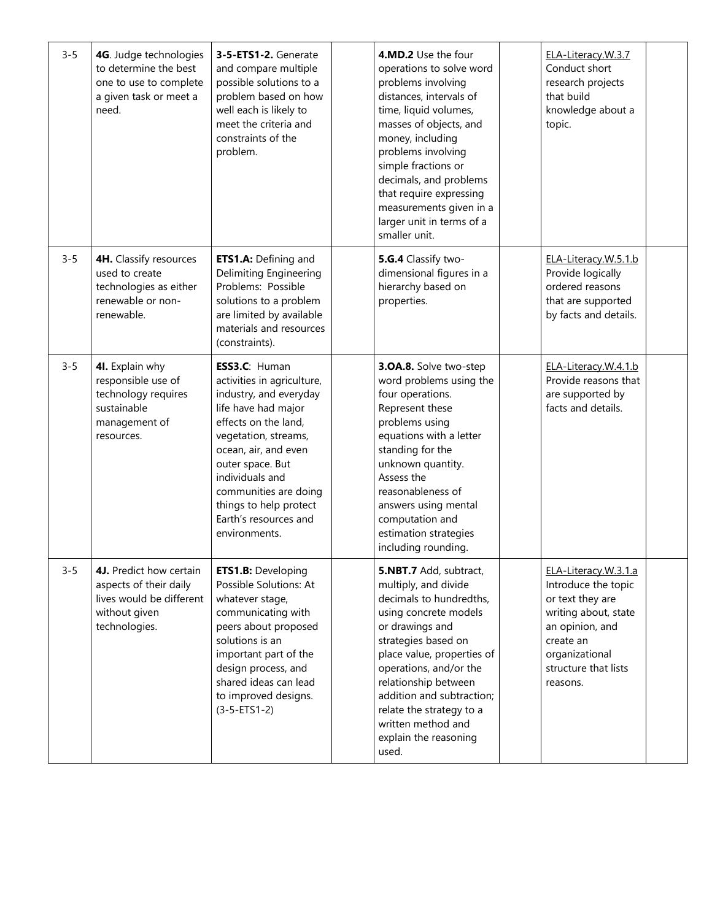| $3 - 5$ | 4G. Judge technologies<br>to determine the best<br>one to use to complete<br>a given task or meet a<br>need.    | 3-5-ETS1-2. Generate<br>and compare multiple<br>possible solutions to a<br>problem based on how<br>well each is likely to<br>meet the criteria and<br>constraints of the<br>problem.                                                                                                                     | 4.MD.2 Use the four<br>operations to solve word<br>problems involving<br>distances, intervals of<br>time, liquid volumes,<br>masses of objects, and<br>money, including<br>problems involving<br>simple fractions or<br>decimals, and problems<br>that require expressing<br>measurements given in a<br>larger unit in terms of a<br>smaller unit. | ELA-Literacy.W.3.7<br>Conduct short<br>research projects<br>that build<br>knowledge about a<br>topic.                                                                         |  |
|---------|-----------------------------------------------------------------------------------------------------------------|----------------------------------------------------------------------------------------------------------------------------------------------------------------------------------------------------------------------------------------------------------------------------------------------------------|----------------------------------------------------------------------------------------------------------------------------------------------------------------------------------------------------------------------------------------------------------------------------------------------------------------------------------------------------|-------------------------------------------------------------------------------------------------------------------------------------------------------------------------------|--|
| $3 - 5$ | 4H. Classify resources<br>used to create<br>technologies as either<br>renewable or non-<br>renewable.           | ETS1.A: Defining and<br>Delimiting Engineering<br>Problems: Possible<br>solutions to a problem<br>are limited by available<br>materials and resources<br>(constraints).                                                                                                                                  | 5.G.4 Classify two-<br>dimensional figures in a<br>hierarchy based on<br>properties.                                                                                                                                                                                                                                                               | ELA-Literacy.W.5.1.b<br>Provide logically<br>ordered reasons<br>that are supported<br>by facts and details.                                                                   |  |
| $3 - 5$ | 4I. Explain why<br>responsible use of<br>technology requires<br>sustainable<br>management of<br>resources.      | ESS3.C: Human<br>activities in agriculture,<br>industry, and everyday<br>life have had major<br>effects on the land,<br>vegetation, streams,<br>ocean, air, and even<br>outer space. But<br>individuals and<br>communities are doing<br>things to help protect<br>Earth's resources and<br>environments. | 3.0A.8. Solve two-step<br>word problems using the<br>four operations.<br>Represent these<br>problems using<br>equations with a letter<br>standing for the<br>unknown quantity.<br>Assess the<br>reasonableness of<br>answers using mental<br>computation and<br>estimation strategies<br>including rounding.                                       | ELA-Literacy.W.4.1.b<br>Provide reasons that<br>are supported by<br>facts and details.                                                                                        |  |
| $3 - 5$ | 4J. Predict how certain<br>aspects of their daily<br>lives would be different<br>without given<br>technologies. | <b>ETS1.B: Developing</b><br>Possible Solutions: At<br>whatever stage,<br>communicating with<br>peers about proposed<br>solutions is an<br>important part of the<br>design process, and<br>shared ideas can lead<br>to improved designs.<br>$(3 - 5 - ETS1 - 2)$                                         | 5.NBT.7 Add, subtract,<br>multiply, and divide<br>decimals to hundredths,<br>using concrete models<br>or drawings and<br>strategies based on<br>place value, properties of<br>operations, and/or the<br>relationship between<br>addition and subtraction;<br>relate the strategy to a<br>written method and<br>explain the reasoning<br>used.      | ELA-Literacy.W.3.1.a<br>Introduce the topic<br>or text they are<br>writing about, state<br>an opinion, and<br>create an<br>organizational<br>structure that lists<br>reasons. |  |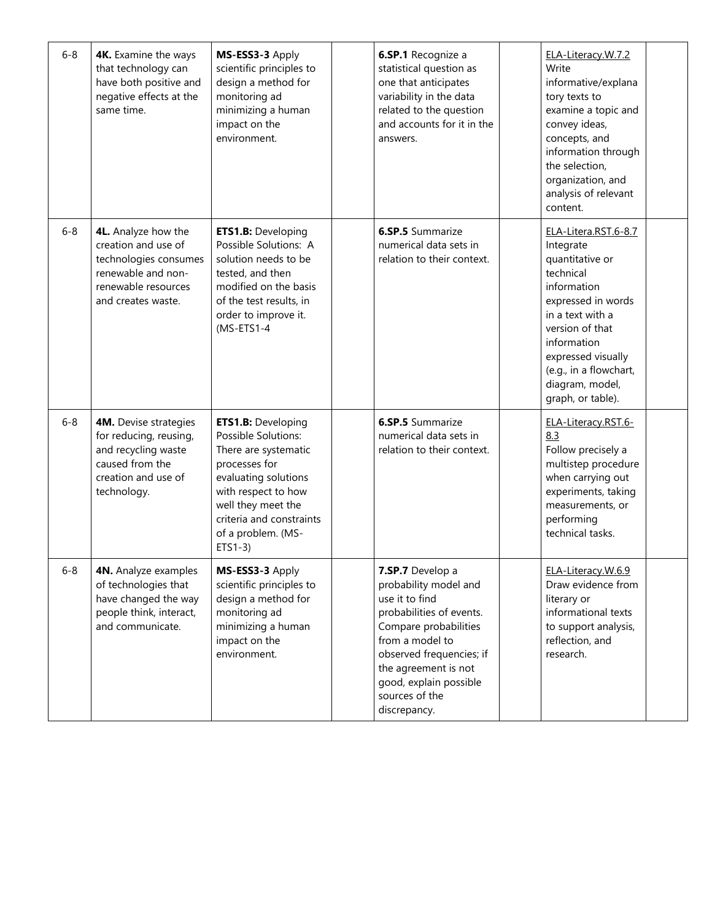| $6 - 8$ | 4K. Examine the ways<br>that technology can<br>have both positive and<br>negative effects at the<br>same time.                         | MS-ESS3-3 Apply<br>scientific principles to<br>design a method for<br>monitoring ad<br>minimizing a human<br>impact on the<br>environment.                                                                                    | 6.SP.1 Recognize a<br>statistical question as<br>one that anticipates<br>variability in the data<br>related to the question<br>and accounts for it in the<br>answers.                                                                               | ELA-Literacy.W.7.2<br>Write<br>informative/explana<br>tory texts to<br>examine a topic and<br>convey ideas,<br>concepts, and<br>information through<br>the selection,<br>organization, and<br>analysis of relevant<br>content.                       |  |
|---------|----------------------------------------------------------------------------------------------------------------------------------------|-------------------------------------------------------------------------------------------------------------------------------------------------------------------------------------------------------------------------------|-----------------------------------------------------------------------------------------------------------------------------------------------------------------------------------------------------------------------------------------------------|------------------------------------------------------------------------------------------------------------------------------------------------------------------------------------------------------------------------------------------------------|--|
| $6 - 8$ | 4L. Analyze how the<br>creation and use of<br>technologies consumes<br>renewable and non-<br>renewable resources<br>and creates waste. | <b>ETS1.B: Developing</b><br>Possible Solutions: A<br>solution needs to be<br>tested, and then<br>modified on the basis<br>of the test results, in<br>order to improve it.<br>$(MS-ETS1-4)$                                   | <b>6.SP.5</b> Summarize<br>numerical data sets in<br>relation to their context.                                                                                                                                                                     | ELA-Litera.RST.6-8.7<br>Integrate<br>quantitative or<br>technical<br>information<br>expressed in words<br>in a text with a<br>version of that<br>information<br>expressed visually<br>(e.g., in a flowchart,<br>diagram, model,<br>graph, or table). |  |
| $6 - 8$ | 4M. Devise strategies<br>for reducing, reusing,<br>and recycling waste<br>caused from the<br>creation and use of<br>technology.        | <b>ETS1.B: Developing</b><br>Possible Solutions:<br>There are systematic<br>processes for<br>evaluating solutions<br>with respect to how<br>well they meet the<br>criteria and constraints<br>of a problem. (MS-<br>$ETS1-3)$ | <b>6.SP.5</b> Summarize<br>numerical data sets in<br>relation to their context.                                                                                                                                                                     | ELA-Literacy.RST.6-<br>8.3<br>Follow precisely a<br>multistep procedure<br>when carrying out<br>experiments, taking<br>measurements, or<br>performing<br>technical tasks.                                                                            |  |
| $6 - 8$ | 4N. Analyze examples<br>of technologies that<br>have changed the way<br>people think, interact,<br>and communicate.                    | MS-ESS3-3 Apply<br>scientific principles to<br>design a method for<br>monitoring ad<br>minimizing a human<br>impact on the<br>environment.                                                                                    | 7.SP.7 Develop a<br>probability model and<br>use it to find<br>probabilities of events.<br>Compare probabilities<br>from a model to<br>observed frequencies; if<br>the agreement is not<br>good, explain possible<br>sources of the<br>discrepancy. | ELA-Literacy.W.6.9<br>Draw evidence from<br>literary or<br>informational texts<br>to support analysis,<br>reflection, and<br>research.                                                                                                               |  |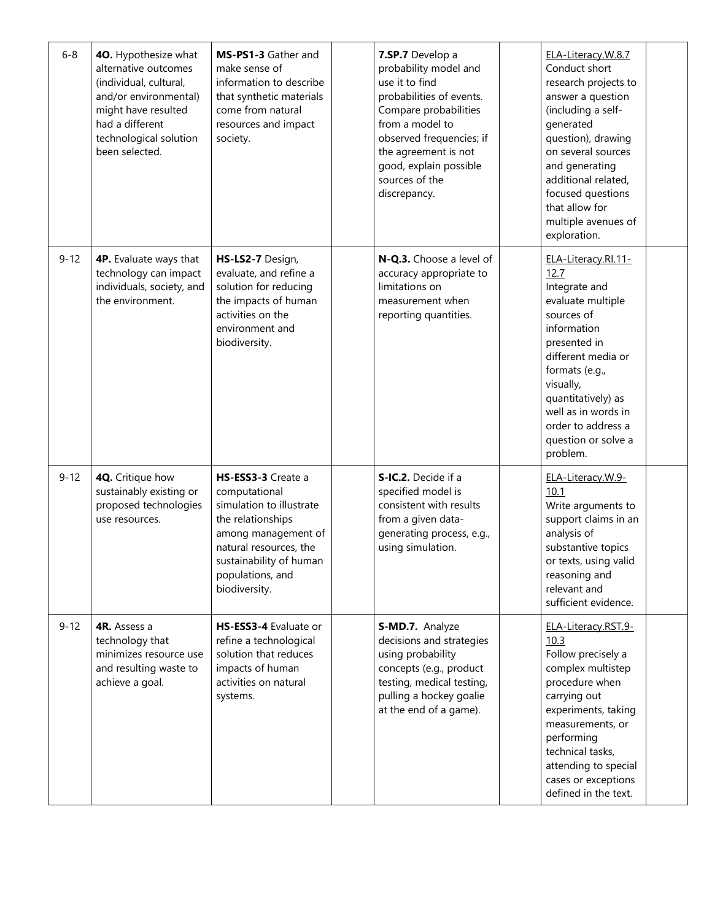| $6 - 8$  | 40. Hypothesize what<br>alternative outcomes<br>(individual, cultural,<br>and/or environmental)<br>might have resulted<br>had a different<br>technological solution<br>been selected. | MS-PS1-3 Gather and<br>make sense of<br>information to describe<br>that synthetic materials<br>come from natural<br>resources and impact<br>society.                                                  | 7.SP.7 Develop a<br>probability model and<br>use it to find<br>probabilities of events.<br>Compare probabilities<br>from a model to<br>observed frequencies; if<br>the agreement is not<br>good, explain possible<br>sources of the<br>discrepancy. | ELA-Literacy.W.8.7<br>Conduct short<br>research projects to<br>answer a question<br>(including a self-<br>generated<br>question), drawing<br>on several sources<br>and generating<br>additional related,<br>focused questions<br>that allow for<br>multiple avenues of<br>exploration. |  |
|----------|---------------------------------------------------------------------------------------------------------------------------------------------------------------------------------------|-------------------------------------------------------------------------------------------------------------------------------------------------------------------------------------------------------|-----------------------------------------------------------------------------------------------------------------------------------------------------------------------------------------------------------------------------------------------------|----------------------------------------------------------------------------------------------------------------------------------------------------------------------------------------------------------------------------------------------------------------------------------------|--|
| $9 - 12$ | 4P. Evaluate ways that<br>technology can impact<br>individuals, society, and<br>the environment.                                                                                      | HS-LS2-7 Design,<br>evaluate, and refine a<br>solution for reducing<br>the impacts of human<br>activities on the<br>environment and<br>biodiversity.                                                  | N-Q.3. Choose a level of<br>accuracy appropriate to<br>limitations on<br>measurement when<br>reporting quantities.                                                                                                                                  | ELA-Literacy.RI.11-<br>12.7<br>Integrate and<br>evaluate multiple<br>sources of<br>information<br>presented in<br>different media or<br>formats (e.g.,<br>visually,<br>quantitatively) as<br>well as in words in<br>order to address a<br>question or solve a<br>problem.              |  |
| $9 - 12$ | 4Q. Critique how<br>sustainably existing or<br>proposed technologies<br>use resources.                                                                                                | HS-ESS3-3 Create a<br>computational<br>simulation to illustrate<br>the relationships<br>among management of<br>natural resources, the<br>sustainability of human<br>populations, and<br>biodiversity. | S-IC.2. Decide if a<br>specified model is<br>consistent with results<br>from a given data-<br>generating process, e.g.,<br>using simulation.                                                                                                        | ELA-Literacy.W.9-<br>10.1<br>Write arguments to<br>support claims in an<br>analysis of<br>substantive topics<br>or texts, using valid<br>reasoning and<br>relevant and<br>sufficient evidence.                                                                                         |  |
| $9 - 12$ | 4R. Assess a<br>technology that<br>minimizes resource use<br>and resulting waste to<br>achieve a goal.                                                                                | HS-ESS3-4 Evaluate or<br>refine a technological<br>solution that reduces<br>impacts of human<br>activities on natural<br>systems.                                                                     | S-MD.7. Analyze<br>decisions and strategies<br>using probability<br>concepts (e.g., product<br>testing, medical testing,<br>pulling a hockey goalie<br>at the end of a game).                                                                       | ELA-Literacy.RST.9-<br>10.3<br>Follow precisely a<br>complex multistep<br>procedure when<br>carrying out<br>experiments, taking<br>measurements, or<br>performing<br>technical tasks,<br>attending to special<br>cases or exceptions<br>defined in the text.                           |  |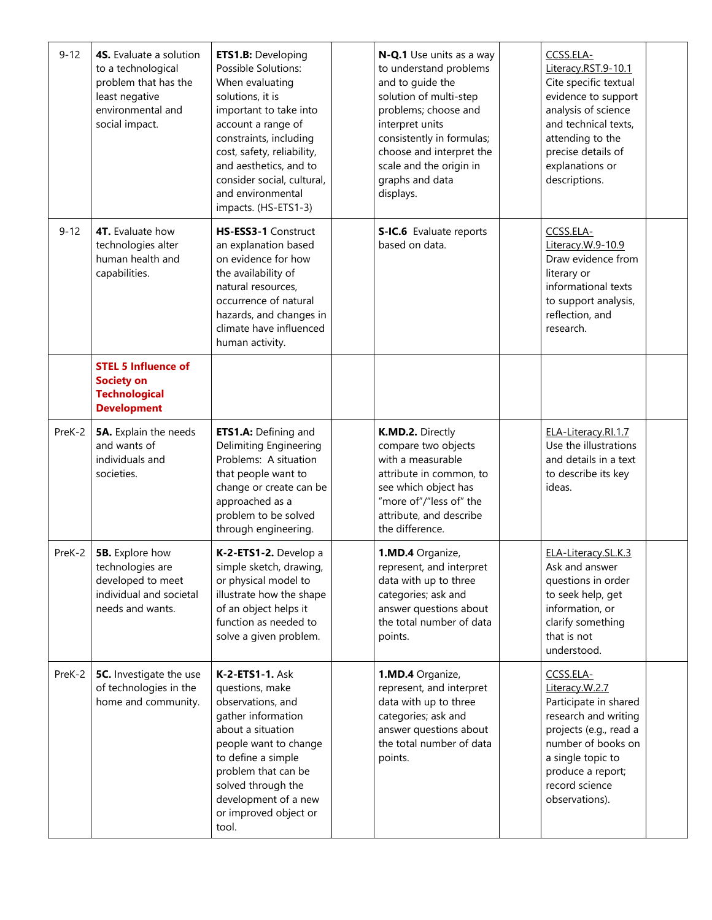| $9 - 12$ | 4S. Evaluate a solution<br>to a technological<br>problem that has the<br>least negative<br>environmental and<br>social impact. | <b>ETS1.B: Developing</b><br>Possible Solutions:<br>When evaluating<br>solutions, it is<br>important to take into<br>account a range of<br>constraints, including<br>cost, safety, reliability,<br>and aesthetics, and to<br>consider social, cultural,<br>and environmental<br>impacts. (HS-ETS1-3) | N-Q.1 Use units as a way<br>to understand problems<br>and to guide the<br>solution of multi-step<br>problems; choose and<br>interpret units<br>consistently in formulas;<br>choose and interpret the<br>scale and the origin in<br>graphs and data<br>displays. | CCSS.ELA-<br>Literacy.RST.9-10.1<br>Cite specific textual<br>evidence to support<br>analysis of science<br>and technical texts,<br>attending to the<br>precise details of<br>explanations or<br>descriptions. |  |
|----------|--------------------------------------------------------------------------------------------------------------------------------|------------------------------------------------------------------------------------------------------------------------------------------------------------------------------------------------------------------------------------------------------------------------------------------------------|-----------------------------------------------------------------------------------------------------------------------------------------------------------------------------------------------------------------------------------------------------------------|---------------------------------------------------------------------------------------------------------------------------------------------------------------------------------------------------------------|--|
| $9 - 12$ | <b>4T.</b> Evaluate how<br>technologies alter<br>human health and<br>capabilities.                                             | HS-ESS3-1 Construct<br>an explanation based<br>on evidence for how<br>the availability of<br>natural resources,<br>occurrence of natural<br>hazards, and changes in<br>climate have influenced<br>human activity.                                                                                    | S-IC.6 Evaluate reports<br>based on data.                                                                                                                                                                                                                       | CCSS.ELA-<br>Literacy.W.9-10.9<br>Draw evidence from<br>literary or<br>informational texts<br>to support analysis,<br>reflection, and<br>research.                                                            |  |
|          | <b>STEL 5 Influence of</b><br><b>Society on</b><br><b>Technological</b><br><b>Development</b>                                  |                                                                                                                                                                                                                                                                                                      |                                                                                                                                                                                                                                                                 |                                                                                                                                                                                                               |  |
| PreK-2   | 5A. Explain the needs<br>and wants of<br>individuals and<br>societies.                                                         | ETS1.A: Defining and<br><b>Delimiting Engineering</b><br>Problems: A situation<br>that people want to<br>change or create can be<br>approached as a<br>problem to be solved<br>through engineering.                                                                                                  | K.MD.2. Directly<br>compare two objects<br>with a measurable<br>attribute in common, to<br>see which object has<br>"more of"/"less of" the<br>attribute, and describe<br>the difference.                                                                        | ELA-Literacy.RI.1.7<br>Use the illustrations<br>and details in a text<br>to describe its key<br>ideas.                                                                                                        |  |
| PreK-2   | <b>5B.</b> Explore how<br>technologies are<br>developed to meet<br>individual and societal<br>needs and wants.                 | K-2-ETS1-2. Develop a<br>simple sketch, drawing,<br>or physical model to<br>illustrate how the shape<br>of an object helps it<br>function as needed to<br>solve a given problem.                                                                                                                     | 1.MD.4 Organize,<br>represent, and interpret<br>data with up to three<br>categories; ask and<br>answer questions about<br>the total number of data<br>points.                                                                                                   | ELA-Literacy.SL.K.3<br>Ask and answer<br>questions in order<br>to seek help, get<br>information, or<br>clarify something<br>that is not<br>understood.                                                        |  |
| PreK-2   | 5C. Investigate the use<br>of technologies in the<br>home and community.                                                       | <b>K-2-ETS1-1. Ask</b><br>questions, make<br>observations, and<br>gather information<br>about a situation<br>people want to change<br>to define a simple<br>problem that can be<br>solved through the<br>development of a new<br>or improved object or<br>tool.                                      | 1.MD.4 Organize,<br>represent, and interpret<br>data with up to three<br>categories; ask and<br>answer questions about<br>the total number of data<br>points.                                                                                                   | CCSS.ELA-<br>Literacy.W.2.7<br>Participate in shared<br>research and writing<br>projects (e.g., read a<br>number of books on<br>a single topic to<br>produce a report;<br>record science<br>observations).    |  |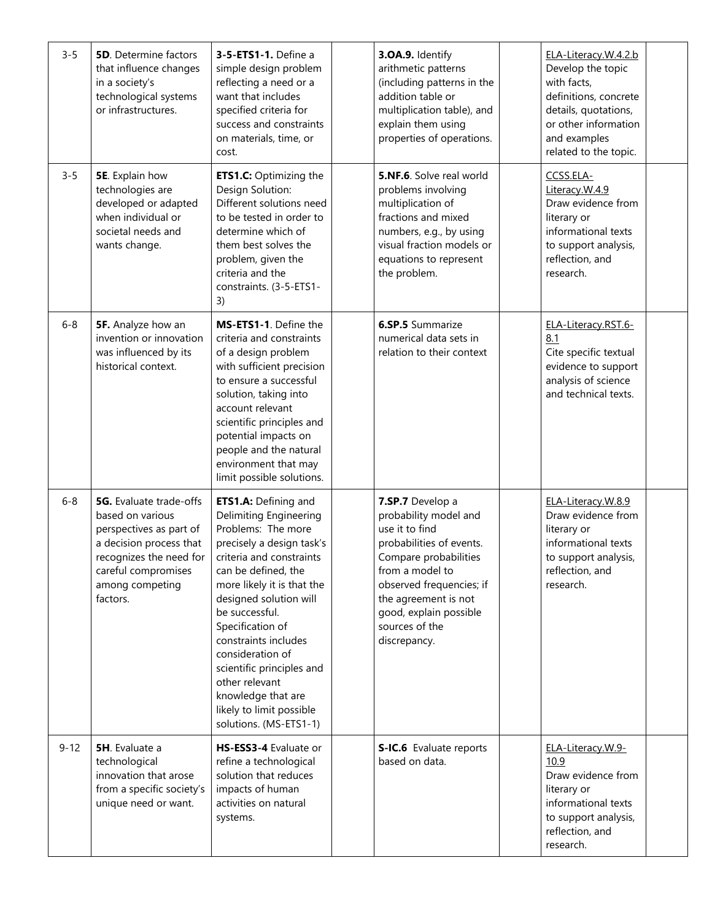| $3 - 5$  | <b>5D.</b> Determine factors<br>that influence changes<br>in a society's<br>technological systems<br>or infrastructures.                                                                  | 3-5-ETS1-1. Define a<br>simple design problem<br>reflecting a need or a<br>want that includes<br>specified criteria for<br>success and constraints<br>on materials, time, or<br>cost.                                                                                                                                                                                                                                            | 3.OA.9. Identify<br>arithmetic patterns<br>(including patterns in the<br>addition table or<br>multiplication table), and<br>explain them using<br>properties of operations.                                                                         | ELA-Literacy.W.4.2.b<br>Develop the topic<br>with facts,<br>definitions, concrete<br>details, quotations,<br>or other information<br>and examples<br>related to the topic. |  |
|----------|-------------------------------------------------------------------------------------------------------------------------------------------------------------------------------------------|----------------------------------------------------------------------------------------------------------------------------------------------------------------------------------------------------------------------------------------------------------------------------------------------------------------------------------------------------------------------------------------------------------------------------------|-----------------------------------------------------------------------------------------------------------------------------------------------------------------------------------------------------------------------------------------------------|----------------------------------------------------------------------------------------------------------------------------------------------------------------------------|--|
| $3 - 5$  | 5E. Explain how<br>technologies are<br>developed or adapted<br>when individual or<br>societal needs and<br>wants change.                                                                  | <b>ETS1.C:</b> Optimizing the<br>Design Solution:<br>Different solutions need<br>to be tested in order to<br>determine which of<br>them best solves the<br>problem, given the<br>criteria and the<br>constraints. (3-5-ETS1-<br>3)                                                                                                                                                                                               | <b>5.NF.6.</b> Solve real world<br>problems involving<br>multiplication of<br>fractions and mixed<br>numbers, e.g., by using<br>visual fraction models or<br>equations to represent<br>the problem.                                                 | CCSS.ELA-<br>Literacy.W.4.9<br>Draw evidence from<br>literary or<br>informational texts<br>to support analysis,<br>reflection, and<br>research.                            |  |
| $6 - 8$  | 5F. Analyze how an<br>invention or innovation<br>was influenced by its<br>historical context.                                                                                             | MS-ETS1-1. Define the<br>criteria and constraints<br>of a design problem<br>with sufficient precision<br>to ensure a successful<br>solution, taking into<br>account relevant<br>scientific principles and<br>potential impacts on<br>people and the natural<br>environment that may<br>limit possible solutions.                                                                                                                 | <b>6.SP.5</b> Summarize<br>numerical data sets in<br>relation to their context                                                                                                                                                                      | ELA-Literacy.RST.6-<br>8.1<br>Cite specific textual<br>evidence to support<br>analysis of science<br>and technical texts.                                                  |  |
| $6 - 8$  | <b>5G.</b> Evaluate trade-offs<br>based on various<br>perspectives as part of<br>a decision process that<br>recognizes the need for<br>careful compromises<br>among competing<br>factors. | ETS1.A: Defining and<br><b>Delimiting Engineering</b><br>Problems: The more<br>precisely a design task's<br>criteria and constraints<br>can be defined, the<br>more likely it is that the<br>designed solution will<br>be successful.<br>Specification of<br>constraints includes<br>consideration of<br>scientific principles and<br>other relevant<br>knowledge that are<br>likely to limit possible<br>solutions. (MS-ETS1-1) | 7.SP.7 Develop a<br>probability model and<br>use it to find<br>probabilities of events.<br>Compare probabilities<br>from a model to<br>observed frequencies; if<br>the agreement is not<br>good, explain possible<br>sources of the<br>discrepancy. | ELA-Literacy.W.8.9<br>Draw evidence from<br>literary or<br>informational texts<br>to support analysis,<br>reflection, and<br>research.                                     |  |
| $9 - 12$ | 5H. Evaluate a<br>technological<br>innovation that arose<br>from a specific society's<br>unique need or want.                                                                             | HS-ESS3-4 Evaluate or<br>refine a technological<br>solution that reduces<br>impacts of human<br>activities on natural<br>systems.                                                                                                                                                                                                                                                                                                | S-IC.6 Evaluate reports<br>based on data.                                                                                                                                                                                                           | ELA-Literacy.W.9-<br>10.9<br>Draw evidence from<br>literary or<br>informational texts<br>to support analysis,<br>reflection, and<br>research.                              |  |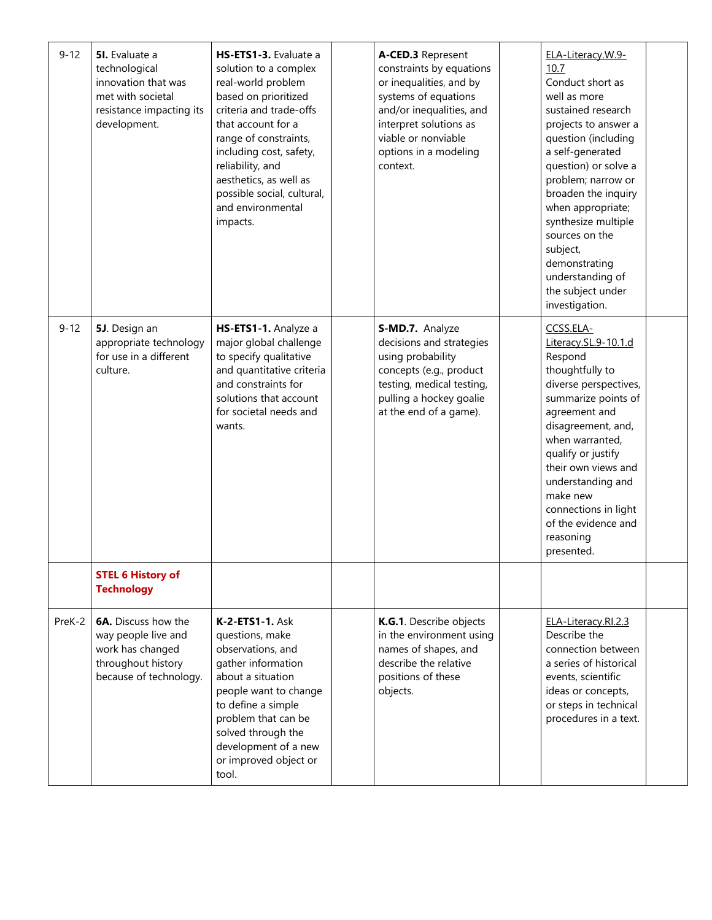| $9 - 12$ | 5I. Evaluate a<br>technological<br>innovation that was<br>met with societal<br>resistance impacting its<br>development. | HS-ETS1-3. Evaluate a<br>solution to a complex<br>real-world problem<br>based on prioritized<br>criteria and trade-offs<br>that account for a<br>range of constraints,<br>including cost, safety,<br>reliability, and<br>aesthetics, as well as<br>possible social, cultural,<br>and environmental<br>impacts. | A-CED.3 Represent<br>constraints by equations<br>or inequalities, and by<br>systems of equations<br>and/or inequalities, and<br>interpret solutions as<br>viable or nonviable<br>options in a modeling<br>context. | ELA-Literacy.W.9-<br>10.7<br>Conduct short as<br>well as more<br>sustained research<br>projects to answer a<br>question (including<br>a self-generated<br>question) or solve a<br>problem; narrow or<br>broaden the inquiry<br>when appropriate;<br>synthesize multiple<br>sources on the<br>subject,<br>demonstrating<br>understanding of<br>the subject under<br>investigation. |  |
|----------|-------------------------------------------------------------------------------------------------------------------------|----------------------------------------------------------------------------------------------------------------------------------------------------------------------------------------------------------------------------------------------------------------------------------------------------------------|--------------------------------------------------------------------------------------------------------------------------------------------------------------------------------------------------------------------|-----------------------------------------------------------------------------------------------------------------------------------------------------------------------------------------------------------------------------------------------------------------------------------------------------------------------------------------------------------------------------------|--|
| $9 - 12$ | 5J. Design an<br>appropriate technology<br>for use in a different<br>culture.                                           | HS-ETS1-1. Analyze a<br>major global challenge<br>to specify qualitative<br>and quantitative criteria<br>and constraints for<br>solutions that account<br>for societal needs and<br>wants.                                                                                                                     | S-MD.7. Analyze<br>decisions and strategies<br>using probability<br>concepts (e.g., product<br>testing, medical testing,<br>pulling a hockey goalie<br>at the end of a game).                                      | CCSS.ELA-<br>Literacy.SL.9-10.1.d<br>Respond<br>thoughtfully to<br>diverse perspectives,<br>summarize points of<br>agreement and<br>disagreement, and,<br>when warranted,<br>qualify or justify<br>their own views and<br>understanding and<br>make new<br>connections in light<br>of the evidence and<br>reasoning<br>presented.                                                 |  |
|          | <b>STEL 6 History of</b><br><b>Technology</b>                                                                           |                                                                                                                                                                                                                                                                                                                |                                                                                                                                                                                                                    |                                                                                                                                                                                                                                                                                                                                                                                   |  |
| PreK-2   | <b>6A.</b> Discuss how the<br>way people live and<br>work has changed<br>throughout history<br>because of technology.   | <b>K-2-ETS1-1. Ask</b><br>questions, make<br>observations, and<br>gather information<br>about a situation<br>people want to change<br>to define a simple<br>problem that can be<br>solved through the<br>development of a new<br>or improved object or<br>tool.                                                | K.G.1. Describe objects<br>in the environment using<br>names of shapes, and<br>describe the relative<br>positions of these<br>objects.                                                                             | ELA-Literacy.RI.2.3<br>Describe the<br>connection between<br>a series of historical<br>events, scientific<br>ideas or concepts,<br>or steps in technical<br>procedures in a text.                                                                                                                                                                                                 |  |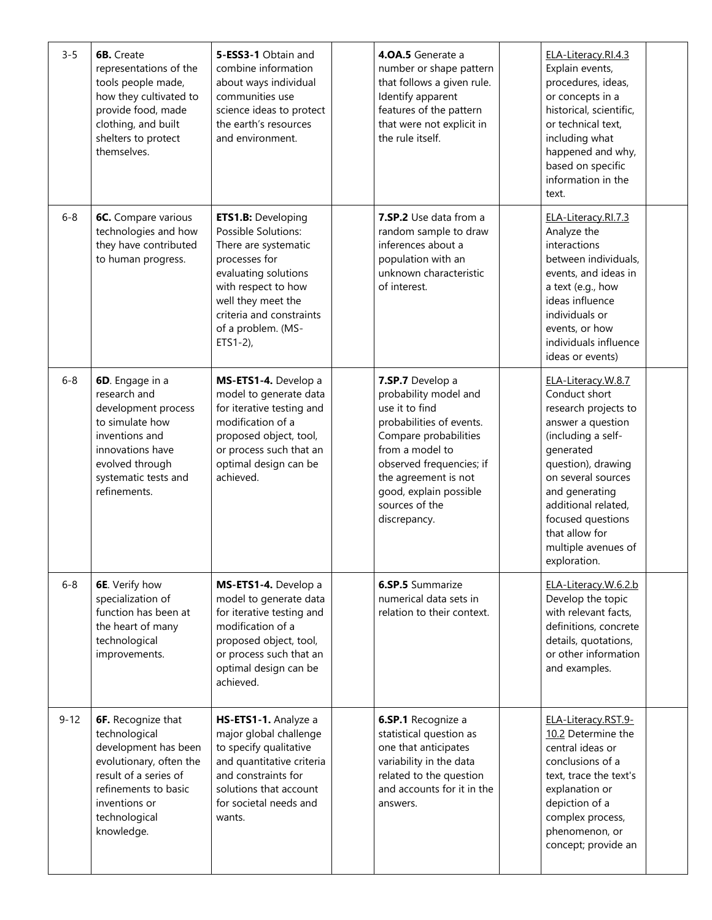| $3 - 5$  | <b>6B.</b> Create<br>representations of the<br>tools people made,<br>how they cultivated to<br>provide food, made<br>clothing, and built<br>shelters to protect<br>themselves.                 | 5-ESS3-1 Obtain and<br>combine information<br>about ways individual<br>communities use<br>science ideas to protect<br>the earth's resources<br>and environment.                                                                 | 4.0A.5 Generate a<br>number or shape pattern<br>that follows a given rule.<br>Identify apparent<br>features of the pattern<br>that were not explicit in<br>the rule itself.                                                                         | ELA-Literacy.RI.4.3<br>Explain events,<br>procedures, ideas,<br>or concepts in a<br>historical, scientific,<br>or technical text,<br>including what<br>happened and why,<br>based on specific<br>information in the<br>text.                                                           |  |
|----------|------------------------------------------------------------------------------------------------------------------------------------------------------------------------------------------------|---------------------------------------------------------------------------------------------------------------------------------------------------------------------------------------------------------------------------------|-----------------------------------------------------------------------------------------------------------------------------------------------------------------------------------------------------------------------------------------------------|----------------------------------------------------------------------------------------------------------------------------------------------------------------------------------------------------------------------------------------------------------------------------------------|--|
| $6 - 8$  | <b>6C.</b> Compare various<br>technologies and how<br>they have contributed<br>to human progress.                                                                                              | <b>ETS1.B: Developing</b><br>Possible Solutions:<br>There are systematic<br>processes for<br>evaluating solutions<br>with respect to how<br>well they meet the<br>criteria and constraints<br>of a problem. (MS-<br>$ETS1-2$ ), | 7.SP.2 Use data from a<br>random sample to draw<br>inferences about a<br>population with an<br>unknown characteristic<br>of interest.                                                                                                               | ELA-Literacy.RI.7.3<br>Analyze the<br>interactions<br>between individuals,<br>events, and ideas in<br>a text (e.g., how<br>ideas influence<br>individuals or<br>events, or how<br>individuals influence<br>ideas or events)                                                            |  |
| $6 - 8$  | 6D. Engage in a<br>research and<br>development process<br>to simulate how<br>inventions and<br>innovations have<br>evolved through<br>systematic tests and<br>refinements.                     | MS-ETS1-4. Develop a<br>model to generate data<br>for iterative testing and<br>modification of a<br>proposed object, tool,<br>or process such that an<br>optimal design can be<br>achieved.                                     | 7.SP.7 Develop a<br>probability model and<br>use it to find<br>probabilities of events.<br>Compare probabilities<br>from a model to<br>observed frequencies; if<br>the agreement is not<br>good, explain possible<br>sources of the<br>discrepancy. | ELA-Literacy.W.8.7<br>Conduct short<br>research projects to<br>answer a question<br>(including a self-<br>generated<br>question), drawing<br>on several sources<br>and generating<br>additional related,<br>focused questions<br>that allow for<br>multiple avenues of<br>exploration. |  |
| $6 - 8$  | <b>6E</b> . Verify how<br>specialization of<br>function has been at<br>the heart of many<br>technological<br>improvements.                                                                     | MS-ETS1-4. Develop a<br>model to generate data<br>for iterative testing and<br>modification of a<br>proposed object, tool,<br>or process such that an<br>optimal design can be<br>achieved.                                     | <b>6.SP.5</b> Summarize<br>numerical data sets in<br>relation to their context.                                                                                                                                                                     | ELA-Literacy.W.6.2.b<br>Develop the topic<br>with relevant facts,<br>definitions, concrete<br>details, quotations,<br>or other information<br>and examples.                                                                                                                            |  |
| $9 - 12$ | <b>6F.</b> Recognize that<br>technological<br>development has been<br>evolutionary, often the<br>result of a series of<br>refinements to basic<br>inventions or<br>technological<br>knowledge. | HS-ETS1-1. Analyze a<br>major global challenge<br>to specify qualitative<br>and quantitative criteria<br>and constraints for<br>solutions that account<br>for societal needs and<br>wants.                                      | 6.SP.1 Recognize a<br>statistical question as<br>one that anticipates<br>variability in the data<br>related to the question<br>and accounts for it in the<br>answers.                                                                               | ELA-Literacy.RST.9-<br>10.2 Determine the<br>central ideas or<br>conclusions of a<br>text, trace the text's<br>explanation or<br>depiction of a<br>complex process,<br>phenomenon, or<br>concept; provide an                                                                           |  |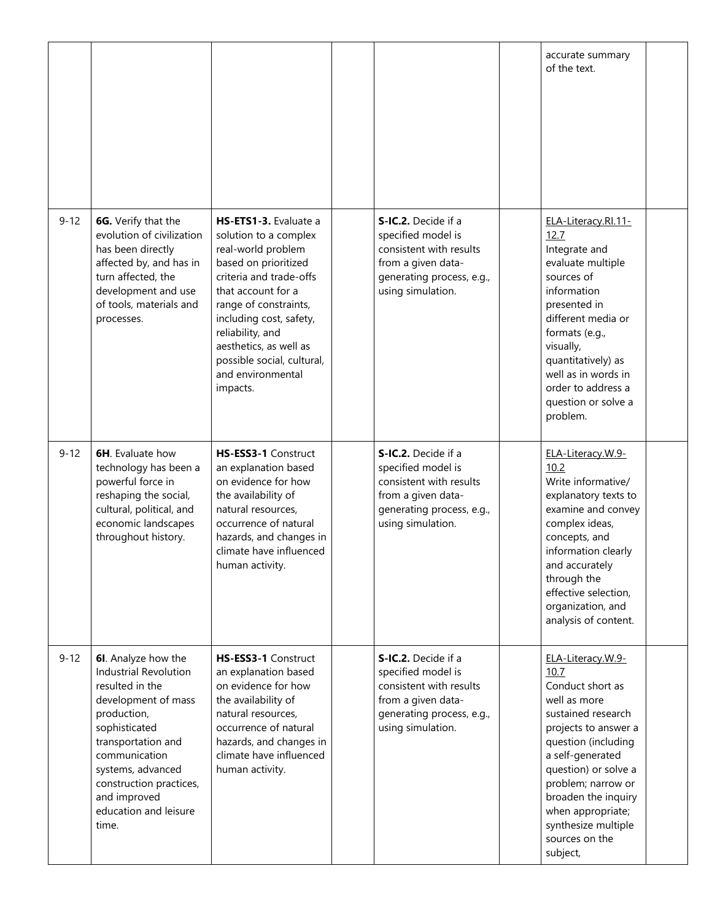|          |                                                                                                                                                                                                                                                                        |                                                                                                                                                                                                                                                                                                                |                                                                                                                                              | accurate summary<br>of the text.                                                                                                                                                                                                                                                                      |  |
|----------|------------------------------------------------------------------------------------------------------------------------------------------------------------------------------------------------------------------------------------------------------------------------|----------------------------------------------------------------------------------------------------------------------------------------------------------------------------------------------------------------------------------------------------------------------------------------------------------------|----------------------------------------------------------------------------------------------------------------------------------------------|-------------------------------------------------------------------------------------------------------------------------------------------------------------------------------------------------------------------------------------------------------------------------------------------------------|--|
| $9 - 12$ | 6G. Verify that the<br>evolution of civilization<br>has been directly<br>affected by, and has in<br>turn affected, the<br>development and use<br>of tools, materials and<br>processes.                                                                                 | HS-ETS1-3. Evaluate a<br>solution to a complex<br>real-world problem<br>based on prioritized<br>criteria and trade-offs<br>that account for a<br>range of constraints,<br>including cost, safety,<br>reliability, and<br>aesthetics, as well as<br>possible social, cultural,<br>and environmental<br>impacts. | S-IC.2. Decide if a<br>specified model is<br>consistent with results<br>from a given data-<br>generating process, e.g.,<br>using simulation. | ELA-Literacy.Rl.11-<br>12.7<br>Integrate and<br>evaluate multiple<br>sources of<br>information<br>presented in<br>different media or<br>formats (e.g.,<br>visually,<br>quantitatively) as<br>well as in words in<br>order to address a<br>question or solve a<br>problem.                             |  |
| $9 - 12$ | <b>6H.</b> Evaluate how<br>technology has been a<br>powerful force in<br>reshaping the social,<br>cultural, political, and<br>economic landscapes<br>throughout history.                                                                                               | HS-ESS3-1 Construct<br>an explanation based<br>on evidence for how<br>the availability of<br>natural resources,<br>occurrence of natural<br>hazards, and changes in<br>climate have influenced<br>human activity.                                                                                              | S-IC.2. Decide if a<br>specified model is<br>consistent with results<br>from a given data-<br>generating process, e.g.,<br>using simulation. | ELA-Literacy.W.9-<br>10.2<br>Write informative/<br>explanatory texts to<br>examine and convey<br>complex ideas,<br>concepts, and<br>information clearly<br>and accurately<br>through the<br>effective selection,<br>organization, and<br>analysis of content.                                         |  |
| $9 - 12$ | 6I. Analyze how the<br><b>Industrial Revolution</b><br>resulted in the<br>development of mass<br>production,<br>sophisticated<br>transportation and<br>communication<br>systems, advanced<br>construction practices,<br>and improved<br>education and leisure<br>time. | HS-ESS3-1 Construct<br>an explanation based<br>on evidence for how<br>the availability of<br>natural resources,<br>occurrence of natural<br>hazards, and changes in<br>climate have influenced<br>human activity.                                                                                              | S-IC.2. Decide if a<br>specified model is<br>consistent with results<br>from a given data-<br>generating process, e.g.,<br>using simulation. | ELA-Literacy.W.9-<br>10.7<br>Conduct short as<br>well as more<br>sustained research<br>projects to answer a<br>question (including<br>a self-generated<br>question) or solve a<br>problem; narrow or<br>broaden the inquiry<br>when appropriate;<br>synthesize multiple<br>sources on the<br>subject, |  |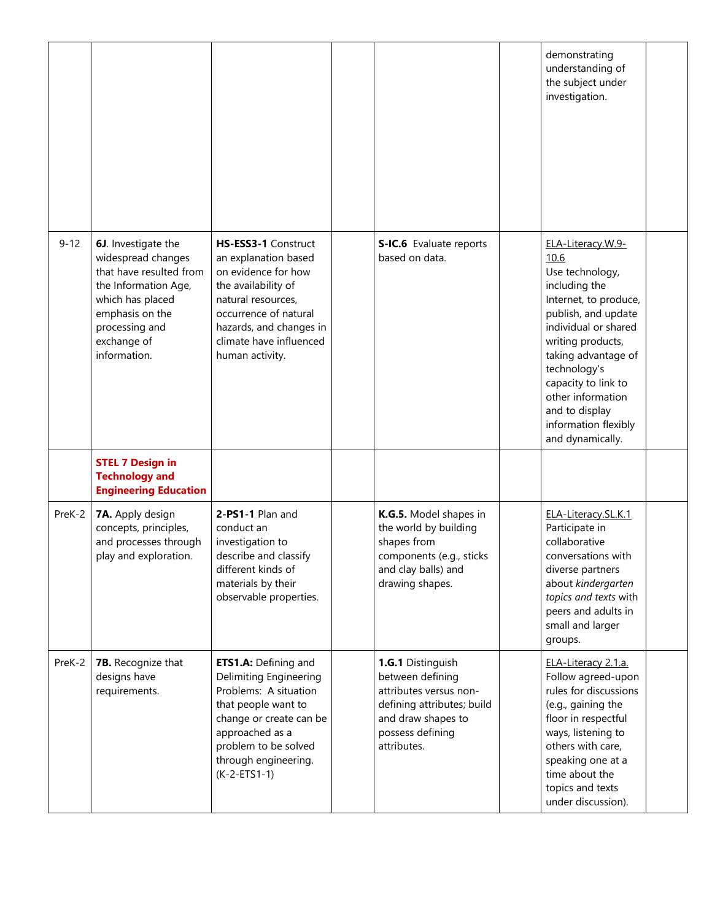|          |                                                                                                                                                                                      |                                                                                                                                                                                                                       |                                                                                                                                                        | demonstrating<br>understanding of<br>the subject under<br>investigation.                                                                                                                                                                                                                                    |  |
|----------|--------------------------------------------------------------------------------------------------------------------------------------------------------------------------------------|-----------------------------------------------------------------------------------------------------------------------------------------------------------------------------------------------------------------------|--------------------------------------------------------------------------------------------------------------------------------------------------------|-------------------------------------------------------------------------------------------------------------------------------------------------------------------------------------------------------------------------------------------------------------------------------------------------------------|--|
| $9 - 12$ | 6J. Investigate the<br>widespread changes<br>that have resulted from<br>the Information Age,<br>which has placed<br>emphasis on the<br>processing and<br>exchange of<br>information. | HS-ESS3-1 Construct<br>an explanation based<br>on evidence for how<br>the availability of<br>natural resources,<br>occurrence of natural<br>hazards, and changes in<br>climate have influenced<br>human activity.     | S-IC.6 Evaluate reports<br>based on data.                                                                                                              | ELA-Literacy.W.9-<br>10.6<br>Use technology,<br>including the<br>Internet, to produce,<br>publish, and update<br>individual or shared<br>writing products,<br>taking advantage of<br>technology's<br>capacity to link to<br>other information<br>and to display<br>information flexibly<br>and dynamically. |  |
|          | <b>STEL 7 Design in</b><br><b>Technology and</b><br><b>Engineering Education</b>                                                                                                     |                                                                                                                                                                                                                       |                                                                                                                                                        |                                                                                                                                                                                                                                                                                                             |  |
| PreK-2   | 7A. Apply design<br>concepts, principles,<br>and processes through<br>play and exploration.                                                                                          | 2-PS1-1 Plan and<br>conduct an<br>investigation to<br>describe and classify<br>different kinds of<br>materials by their<br>observable properties.                                                                     | K.G.5. Model shapes in<br>the world by building<br>shapes from<br>components (e.g., sticks<br>and clay balls) and<br>drawing shapes.                   | ELA-Literacy.SL.K.1<br>Participate in<br>collaborative<br>conversations with<br>diverse partners<br>about kindergarten<br>topics and texts with<br>peers and adults in<br>small and larger<br>groups.                                                                                                       |  |
| PreK-2   | 7B. Recognize that<br>designs have<br>requirements.                                                                                                                                  | ETS1.A: Defining and<br><b>Delimiting Engineering</b><br>Problems: A situation<br>that people want to<br>change or create can be<br>approached as a<br>problem to be solved<br>through engineering.<br>$(K-2-ETS1-1)$ | 1.G.1 Distinguish<br>between defining<br>attributes versus non-<br>defining attributes; build<br>and draw shapes to<br>possess defining<br>attributes. | ELA-Literacy 2.1.a.<br>Follow agreed-upon<br>rules for discussions<br>(e.g., gaining the<br>floor in respectful<br>ways, listening to<br>others with care,<br>speaking one at a<br>time about the<br>topics and texts<br>under discussion).                                                                 |  |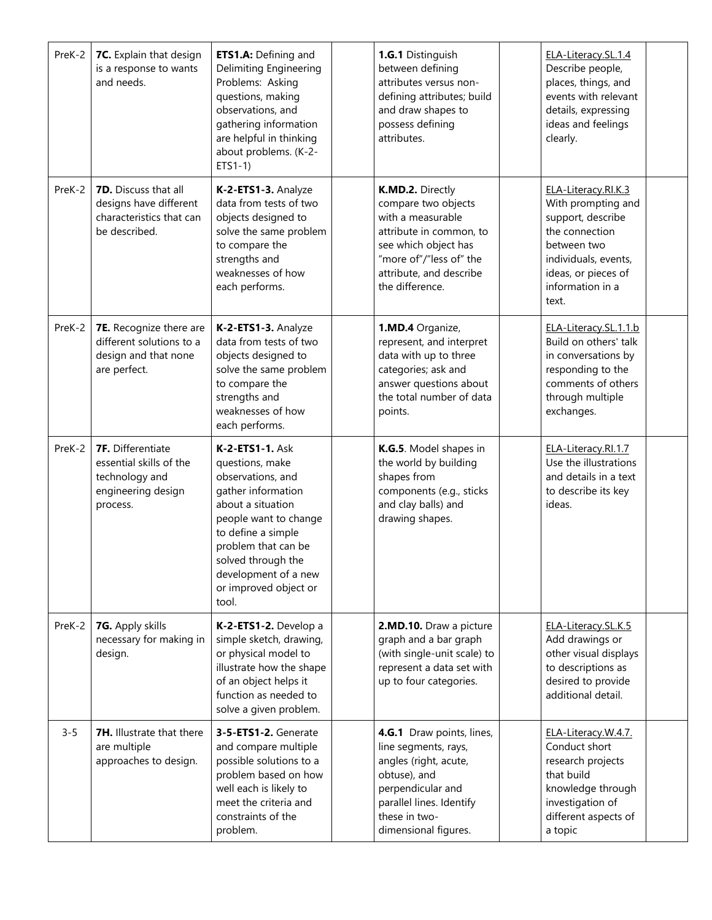| PreK-2  | 7C. Explain that design<br>is a response to wants<br>and needs.                                         | ETS1.A: Defining and<br>Delimiting Engineering<br>Problems: Asking<br>questions, making<br>observations, and<br>gathering information<br>are helpful in thinking<br>about problems. (K-2-<br>$ETS1-1)$                                                   | 1.G.1 Distinguish<br>between defining<br>attributes versus non-<br>defining attributes; build<br>and draw shapes to<br>possess defining<br>attributes.                                   | ELA-Literacy.SL.1.4<br>Describe people,<br>places, things, and<br>events with relevant<br>details, expressing<br>ideas and feelings<br>clearly.                             |  |
|---------|---------------------------------------------------------------------------------------------------------|----------------------------------------------------------------------------------------------------------------------------------------------------------------------------------------------------------------------------------------------------------|------------------------------------------------------------------------------------------------------------------------------------------------------------------------------------------|-----------------------------------------------------------------------------------------------------------------------------------------------------------------------------|--|
| PreK-2  | 7D. Discuss that all<br>designs have different<br>characteristics that can<br>be described.             | K-2-ETS1-3. Analyze<br>data from tests of two<br>objects designed to<br>solve the same problem<br>to compare the<br>strengths and<br>weaknesses of how<br>each performs.                                                                                 | K.MD.2. Directly<br>compare two objects<br>with a measurable<br>attribute in common, to<br>see which object has<br>"more of"/"less of" the<br>attribute, and describe<br>the difference. | ELA-Literacy.RI.K.3<br>With prompting and<br>support, describe<br>the connection<br>between two<br>individuals, events,<br>ideas, or pieces of<br>information in a<br>text. |  |
| PreK-2  | 7E. Recognize there are<br>different solutions to a<br>design and that none<br>are perfect.             | K-2-ETS1-3. Analyze<br>data from tests of two<br>objects designed to<br>solve the same problem<br>to compare the<br>strengths and<br>weaknesses of how<br>each performs.                                                                                 | 1.MD.4 Organize,<br>represent, and interpret<br>data with up to three<br>categories; ask and<br>answer questions about<br>the total number of data<br>points.                            | ELA-Literacy.SL.1.1.b<br>Build on others' talk<br>in conversations by<br>responding to the<br>comments of others<br>through multiple<br>exchanges.                          |  |
| PreK-2  | <b>7F.</b> Differentiate<br>essential skills of the<br>technology and<br>engineering design<br>process. | K-2-ETS1-1. Ask<br>questions, make<br>observations, and<br>gather information<br>about a situation<br>people want to change<br>to define a simple<br>problem that can be<br>solved through the<br>development of a new<br>or improved object or<br>tool. | K.G.5. Model shapes in<br>the world by building<br>shapes from<br>components (e.g., sticks<br>and clay balls) and<br>drawing shapes.                                                     | ELA-Literacy.RI.1.7<br>Use the illustrations<br>and details in a text<br>to describe its key<br>ideas.                                                                      |  |
| PreK-2  | 7G. Apply skills<br>necessary for making in<br>design.                                                  | K-2-ETS1-2. Develop a<br>simple sketch, drawing,<br>or physical model to<br>illustrate how the shape<br>of an object helps it<br>function as needed to<br>solve a given problem.                                                                         | 2.MD.10. Draw a picture<br>graph and a bar graph<br>(with single-unit scale) to<br>represent a data set with<br>up to four categories.                                                   | ELA-Literacy.SL.K.5<br>Add drawings or<br>other visual displays<br>to descriptions as<br>desired to provide<br>additional detail.                                           |  |
| $3 - 5$ | <b>7H.</b> Illustrate that there<br>are multiple<br>approaches to design.                               | 3-5-ETS1-2. Generate<br>and compare multiple<br>possible solutions to a<br>problem based on how<br>well each is likely to<br>meet the criteria and<br>constraints of the<br>problem.                                                                     | 4.G.1 Draw points, lines,<br>line segments, rays,<br>angles (right, acute,<br>obtuse), and<br>perpendicular and<br>parallel lines. Identify<br>these in two-<br>dimensional figures.     | ELA-Literacy.W.4.7.<br>Conduct short<br>research projects<br>that build<br>knowledge through<br>investigation of<br>different aspects of<br>a topic                         |  |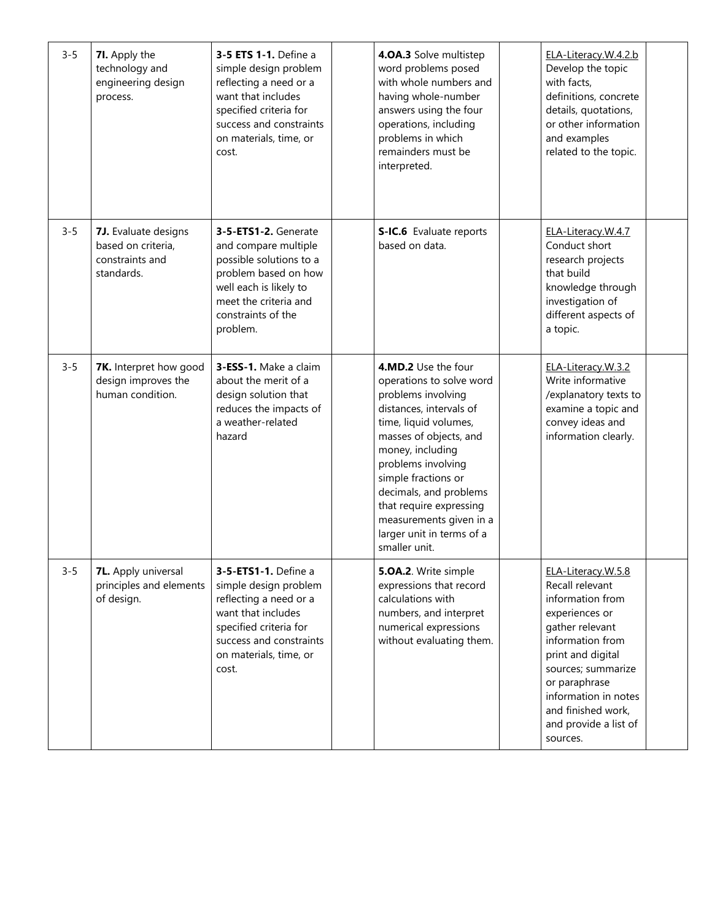| $3 - 5$ | 7I. Apply the<br>technology and<br>engineering design<br>process.           | 3-5 ETS 1-1. Define a<br>simple design problem<br>reflecting a need or a<br>want that includes<br>specified criteria for<br>success and constraints<br>on materials, time, or<br>cost. | 4.0A.3 Solve multistep<br>word problems posed<br>with whole numbers and<br>having whole-number<br>answers using the four<br>operations, including<br>problems in which<br>remainders must be<br>interpreted.                                                                                                                                       | ELA-Literacy.W.4.2.b<br>Develop the topic<br>with facts,<br>definitions, concrete<br>details, quotations,<br>or other information<br>and examples<br>related to the topic.                                                                                        |  |
|---------|-----------------------------------------------------------------------------|----------------------------------------------------------------------------------------------------------------------------------------------------------------------------------------|----------------------------------------------------------------------------------------------------------------------------------------------------------------------------------------------------------------------------------------------------------------------------------------------------------------------------------------------------|-------------------------------------------------------------------------------------------------------------------------------------------------------------------------------------------------------------------------------------------------------------------|--|
| $3 - 5$ | 7J. Evaluate designs<br>based on criteria,<br>constraints and<br>standards. | 3-5-ETS1-2. Generate<br>and compare multiple<br>possible solutions to a<br>problem based on how<br>well each is likely to<br>meet the criteria and<br>constraints of the<br>problem.   | S-IC.6 Evaluate reports<br>based on data.                                                                                                                                                                                                                                                                                                          | ELA-Literacy.W.4.7<br>Conduct short<br>research projects<br>that build<br>knowledge through<br>investigation of<br>different aspects of<br>a topic.                                                                                                               |  |
| $3 - 5$ | 7K. Interpret how good<br>design improves the<br>human condition.           | 3-ESS-1. Make a claim<br>about the merit of a<br>design solution that<br>reduces the impacts of<br>a weather-related<br>hazard                                                         | 4.MD.2 Use the four<br>operations to solve word<br>problems involving<br>distances, intervals of<br>time, liquid volumes,<br>masses of objects, and<br>money, including<br>problems involving<br>simple fractions or<br>decimals, and problems<br>that require expressing<br>measurements given in a<br>larger unit in terms of a<br>smaller unit. | ELA-Literacy.W.3.2<br>Write informative<br>/explanatory texts to<br>examine a topic and<br>convey ideas and<br>information clearly.                                                                                                                               |  |
| $3 - 5$ | <b>7L.</b> Apply universal<br>principles and elements<br>of design.         | 3-5-ETS1-1. Define a<br>simple design problem<br>reflecting a need or a<br>want that includes<br>specified criteria for<br>success and constraints<br>on materials, time, or<br>cost.  | 5.OA.2. Write simple<br>expressions that record<br>calculations with<br>numbers, and interpret<br>numerical expressions<br>without evaluating them.                                                                                                                                                                                                | ELA-Literacy.W.5.8<br>Recall relevant<br>information from<br>experiences or<br>gather relevant<br>information from<br>print and digital<br>sources; summarize<br>or paraphrase<br>information in notes<br>and finished work,<br>and provide a list of<br>sources. |  |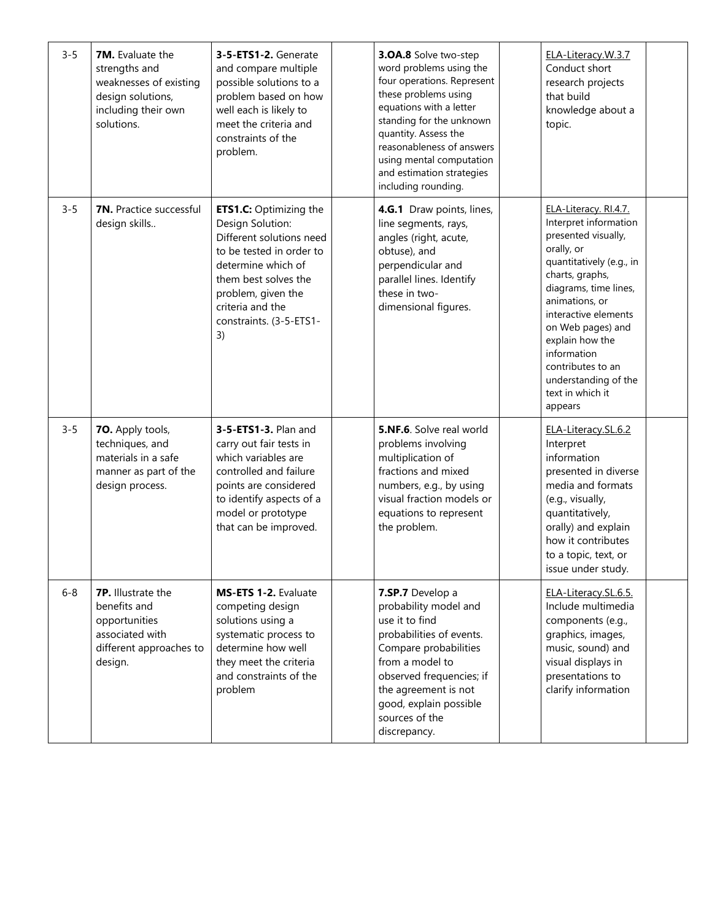| $3 - 5$ | 7M. Evaluate the<br>strengths and<br>weaknesses of existing<br>design solutions,<br>including their own<br>solutions. | 3-5-ETS1-2. Generate<br>and compare multiple<br>possible solutions to a<br>problem based on how<br>well each is likely to<br>meet the criteria and<br>constraints of the<br>problem.                                               | 3.0A.8 Solve two-step<br>word problems using the<br>four operations. Represent<br>these problems using<br>equations with a letter<br>standing for the unknown<br>quantity. Assess the<br>reasonableness of answers<br>using mental computation<br>and estimation strategies<br>including rounding. | ELA-Literacy.W.3.7<br>Conduct short<br>research projects<br>that build<br>knowledge about a<br>topic.                                                                                                                                                                                                                                    |  |
|---------|-----------------------------------------------------------------------------------------------------------------------|------------------------------------------------------------------------------------------------------------------------------------------------------------------------------------------------------------------------------------|----------------------------------------------------------------------------------------------------------------------------------------------------------------------------------------------------------------------------------------------------------------------------------------------------|------------------------------------------------------------------------------------------------------------------------------------------------------------------------------------------------------------------------------------------------------------------------------------------------------------------------------------------|--|
| $3 - 5$ | <b>7N.</b> Practice successful<br>design skills                                                                       | <b>ETS1.C: Optimizing the</b><br>Design Solution:<br>Different solutions need<br>to be tested in order to<br>determine which of<br>them best solves the<br>problem, given the<br>criteria and the<br>constraints. (3-5-ETS1-<br>3) | 4.G.1 Draw points, lines,<br>line segments, rays,<br>angles (right, acute,<br>obtuse), and<br>perpendicular and<br>parallel lines. Identify<br>these in two-<br>dimensional figures.                                                                                                               | ELA-Literacy. RI.4.7.<br>Interpret information<br>presented visually,<br>orally, or<br>quantitatively (e.g., in<br>charts, graphs,<br>diagrams, time lines,<br>animations, or<br>interactive elements<br>on Web pages) and<br>explain how the<br>information<br>contributes to an<br>understanding of the<br>text in which it<br>appears |  |
| $3 - 5$ | 70. Apply tools,<br>techniques, and<br>materials in a safe<br>manner as part of the<br>design process.                | 3-5-ETS1-3. Plan and<br>carry out fair tests in<br>which variables are<br>controlled and failure<br>points are considered<br>to identify aspects of a<br>model or prototype<br>that can be improved.                               | 5.NF.6. Solve real world<br>problems involving<br>multiplication of<br>fractions and mixed<br>numbers, e.g., by using<br>visual fraction models or<br>equations to represent<br>the problem.                                                                                                       | ELA-Literacy.SL.6.2<br>Interpret<br>information<br>presented in diverse<br>media and formats<br>(e.g., visually,<br>quantitatively,<br>orally) and explain<br>how it contributes<br>to a topic, text, or<br>issue under study.                                                                                                           |  |
| $6 - 8$ | 7P. Illustrate the<br>benefits and<br>opportunities<br>associated with<br>different approaches to<br>design.          | MS-ETS 1-2. Evaluate<br>competing design<br>solutions using a<br>systematic process to<br>determine how well<br>they meet the criteria<br>and constraints of the<br>problem                                                        | 7.SP.7 Develop a<br>probability model and<br>use it to find<br>probabilities of events.<br>Compare probabilities<br>from a model to<br>observed frequencies; if<br>the agreement is not<br>good, explain possible<br>sources of the<br>discrepancy.                                                | ELA-Literacy.SL.6.5.<br>Include multimedia<br>components (e.g.,<br>graphics, images,<br>music, sound) and<br>visual displays in<br>presentations to<br>clarify information                                                                                                                                                               |  |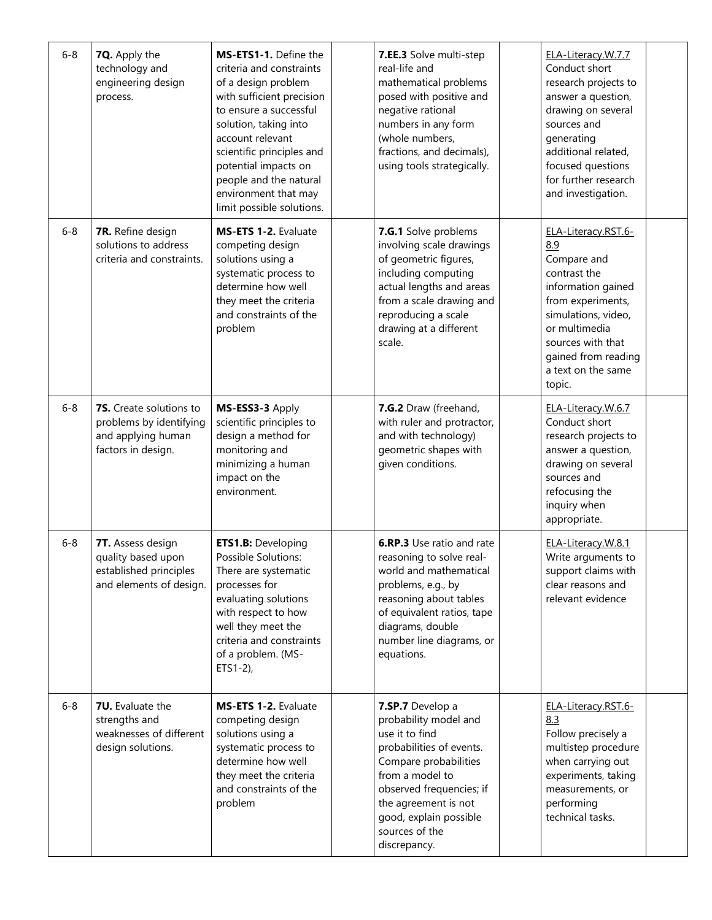| $6 - 8$ | 7Q. Apply the<br>technology and<br>engineering design<br>process.                              | MS-ETS1-1. Define the<br>criteria and constraints<br>of a design problem<br>with sufficient precision<br>to ensure a successful<br>solution, taking into<br>account relevant<br>scientific principles and<br>potential impacts on<br>people and the natural<br>environment that may<br>limit possible solutions. | 7.EE.3 Solve multi-step<br>real-life and<br>mathematical problems<br>posed with positive and<br>negative rational<br>numbers in any form<br>(whole numbers,<br>fractions, and decimals),<br>using tools strategically.                              | ELA-Literacy.W.7.7<br>Conduct short<br>research projects to<br>answer a question,<br>drawing on several<br>sources and<br>generating<br>additional related,<br>focused questions<br>for further research<br>and investigation. |  |
|---------|------------------------------------------------------------------------------------------------|------------------------------------------------------------------------------------------------------------------------------------------------------------------------------------------------------------------------------------------------------------------------------------------------------------------|-----------------------------------------------------------------------------------------------------------------------------------------------------------------------------------------------------------------------------------------------------|--------------------------------------------------------------------------------------------------------------------------------------------------------------------------------------------------------------------------------|--|
| $6 - 8$ | 7R. Refine design<br>solutions to address<br>criteria and constraints.                         | MS-ETS 1-2. Evaluate<br>competing design<br>solutions using a<br>systematic process to<br>determine how well<br>they meet the criteria<br>and constraints of the<br>problem                                                                                                                                      | 7.G.1 Solve problems<br>involving scale drawings<br>of geometric figures,<br>including computing<br>actual lengths and areas<br>from a scale drawing and<br>reproducing a scale<br>drawing at a different<br>scale.                                 | ELA-Literacy.RST.6-<br>8.9<br>Compare and<br>contrast the<br>information gained<br>from experiments,<br>simulations, video,<br>or multimedia<br>sources with that<br>gained from reading<br>a text on the same<br>topic.       |  |
| $6 - 8$ | 7S. Create solutions to<br>problems by identifying<br>and applying human<br>factors in design. | MS-ESS3-3 Apply<br>scientific principles to<br>design a method for<br>monitoring and<br>minimizing a human<br>impact on the<br>environment.                                                                                                                                                                      | 7.G.2 Draw (freehand,<br>with ruler and protractor,<br>and with technology)<br>geometric shapes with<br>given conditions.                                                                                                                           | ELA-Literacy.W.6.7<br>Conduct short<br>research projects to<br>answer a question,<br>drawing on several<br>sources and<br>refocusing the<br>inquiry when<br>appropriate.                                                       |  |
| $6 - 8$ | 7T. Assess design<br>quality based upon<br>established principles<br>and elements of design.   | <b>ETS1.B: Developing</b><br>Possible Solutions:<br>There are systematic<br>processes for<br>evaluating solutions<br>with respect to how<br>well they meet the<br>criteria and constraints<br>of a problem. (MS-<br>$ETS1-2$ ),                                                                                  | 6.RP.3 Use ratio and rate<br>reasoning to solve real-<br>world and mathematical<br>problems, e.g., by<br>reasoning about tables<br>of equivalent ratios, tape<br>diagrams, double<br>number line diagrams, or<br>equations.                         | ELA-Literacy.W.8.1<br>Write arguments to<br>support claims with<br>clear reasons and<br>relevant evidence                                                                                                                      |  |
| $6 - 8$ | <b>7U.</b> Evaluate the<br>strengths and<br>weaknesses of different<br>design solutions.       | MS-ETS 1-2. Evaluate<br>competing design<br>solutions using a<br>systematic process to<br>determine how well<br>they meet the criteria<br>and constraints of the<br>problem                                                                                                                                      | 7.SP.7 Develop a<br>probability model and<br>use it to find<br>probabilities of events.<br>Compare probabilities<br>from a model to<br>observed frequencies; if<br>the agreement is not<br>good, explain possible<br>sources of the<br>discrepancy. | ELA-Literacy.RST.6-<br>8.3<br>Follow precisely a<br>multistep procedure<br>when carrying out<br>experiments, taking<br>measurements, or<br>performing<br>technical tasks.                                                      |  |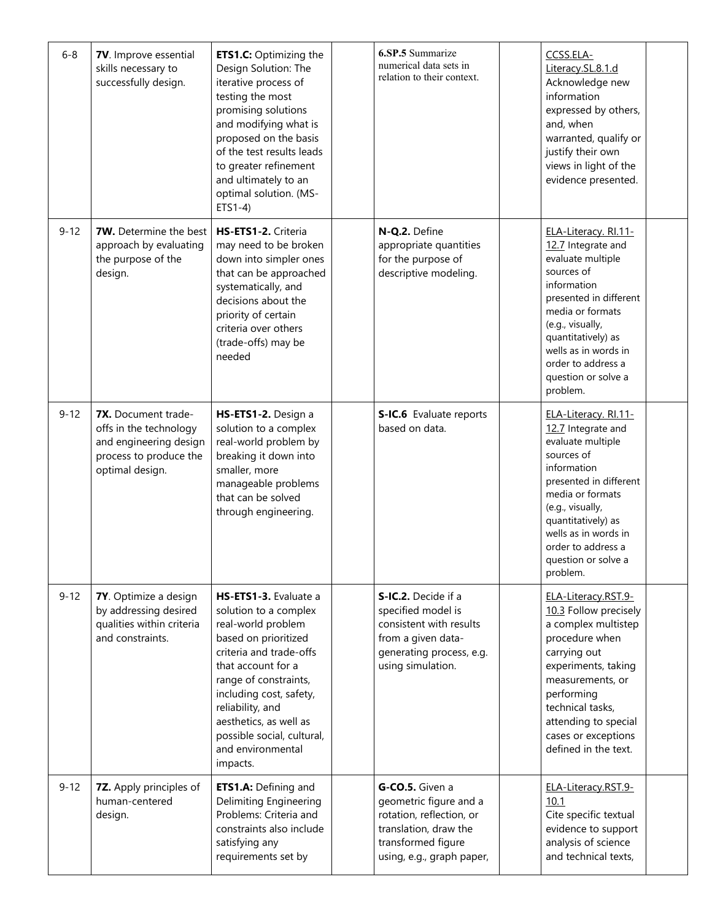| $6 - 8$  | 7V. Improve essential<br>skills necessary to<br>successfully design.                                                 | <b>ETS1.C:</b> Optimizing the<br>Design Solution: The<br>iterative process of<br>testing the most<br>promising solutions<br>and modifying what is<br>proposed on the basis<br>of the test results leads<br>to greater refinement<br>and ultimately to an<br>optimal solution. (MS-<br>$ETS1-4$                 | 6.SP.5 Summarize<br>numerical data sets in<br>relation to their context.                                                                          | CCSS.ELA-<br>Literacy.SL.8.1.d<br>Acknowledge new<br>information<br>expressed by others,<br>and, when<br>warranted, qualify or<br>justify their own<br>views in light of the<br>evidence presented.                                                                   |  |
|----------|----------------------------------------------------------------------------------------------------------------------|----------------------------------------------------------------------------------------------------------------------------------------------------------------------------------------------------------------------------------------------------------------------------------------------------------------|---------------------------------------------------------------------------------------------------------------------------------------------------|-----------------------------------------------------------------------------------------------------------------------------------------------------------------------------------------------------------------------------------------------------------------------|--|
| $9 - 12$ | <b>7W.</b> Determine the best<br>approach by evaluating<br>the purpose of the<br>design.                             | HS-ETS1-2. Criteria<br>may need to be broken<br>down into simpler ones<br>that can be approached<br>systematically, and<br>decisions about the<br>priority of certain<br>criteria over others<br>(trade-offs) may be<br>needed                                                                                 | N-Q.2. Define<br>appropriate quantities<br>for the purpose of<br>descriptive modeling.                                                            | ELA-Literacy. RI.11-<br>12.7 Integrate and<br>evaluate multiple<br>sources of<br>information<br>presented in different<br>media or formats<br>(e.g., visually,<br>quantitatively) as<br>wells as in words in<br>order to address a<br>question or solve a<br>problem. |  |
| $9 - 12$ | 7X. Document trade-<br>offs in the technology<br>and engineering design<br>process to produce the<br>optimal design. | HS-ETS1-2. Design a<br>solution to a complex<br>real-world problem by<br>breaking it down into<br>smaller, more<br>manageable problems<br>that can be solved<br>through engineering.                                                                                                                           | S-IC.6 Evaluate reports<br>based on data.                                                                                                         | ELA-Literacy. RI.11-<br>12.7 Integrate and<br>evaluate multiple<br>sources of<br>information<br>presented in different<br>media or formats<br>(e.g., visually,<br>quantitatively) as<br>wells as in words in<br>order to address a<br>question or solve a<br>problem. |  |
| $9 - 12$ | 7Y. Optimize a design<br>by addressing desired<br>qualities within criteria<br>and constraints.                      | HS-ETS1-3. Evaluate a<br>solution to a complex<br>real-world problem<br>based on prioritized<br>criteria and trade-offs<br>that account for a<br>range of constraints,<br>including cost, safety,<br>reliability, and<br>aesthetics, as well as<br>possible social, cultural,<br>and environmental<br>impacts. | S-IC.2. Decide if a<br>specified model is<br>consistent with results<br>from a given data-<br>generating process, e.g.<br>using simulation.       | ELA-Literacy.RST.9-<br>10.3 Follow precisely<br>a complex multistep<br>procedure when<br>carrying out<br>experiments, taking<br>measurements, or<br>performing<br>technical tasks,<br>attending to special<br>cases or exceptions<br>defined in the text.             |  |
| $9 - 12$ | 7Z. Apply principles of<br>human-centered<br>design.                                                                 | ETS1.A: Defining and<br>Delimiting Engineering<br>Problems: Criteria and<br>constraints also include<br>satisfying any<br>requirements set by                                                                                                                                                                  | G-CO.5. Given a<br>geometric figure and a<br>rotation, reflection, or<br>translation, draw the<br>transformed figure<br>using, e.g., graph paper, | ELA-Literacy.RST.9-<br>10.1<br>Cite specific textual<br>evidence to support<br>analysis of science<br>and technical texts,                                                                                                                                            |  |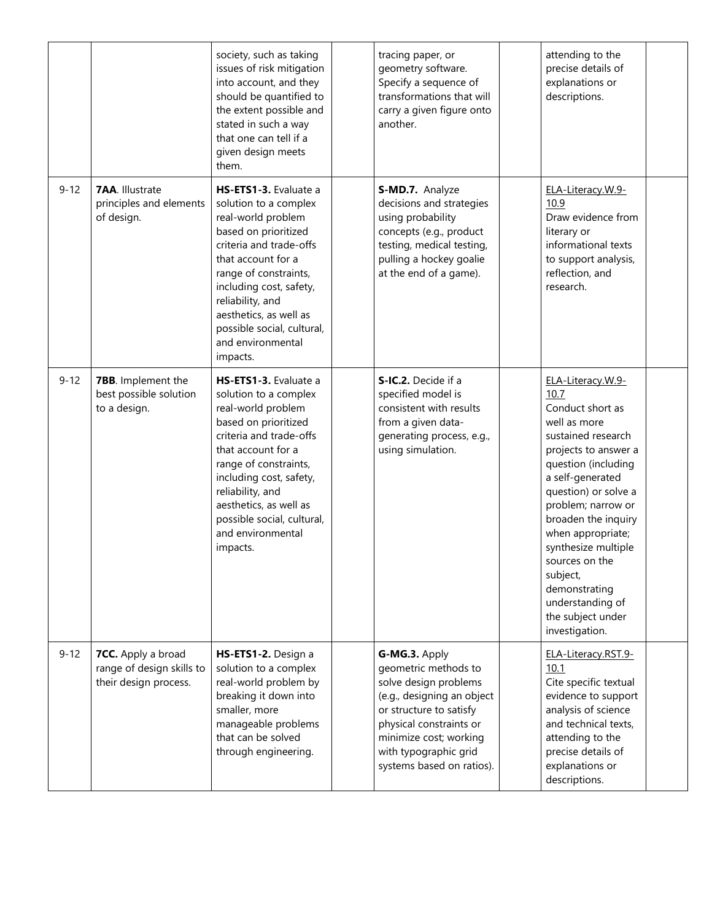|          |                                                                          | society, such as taking<br>issues of risk mitigation<br>into account, and they<br>should be quantified to<br>the extent possible and<br>stated in such a way<br>that one can tell if a<br>given design meets<br>them.                                                                                          | tracing paper, or<br>geometry software.<br>Specify a sequence of<br>transformations that will<br>carry a given figure onto<br>another.                                                                                             | attending to the<br>precise details of<br>explanations or<br>descriptions.                                                                                                                                                                                                                                                                                                        |  |
|----------|--------------------------------------------------------------------------|----------------------------------------------------------------------------------------------------------------------------------------------------------------------------------------------------------------------------------------------------------------------------------------------------------------|------------------------------------------------------------------------------------------------------------------------------------------------------------------------------------------------------------------------------------|-----------------------------------------------------------------------------------------------------------------------------------------------------------------------------------------------------------------------------------------------------------------------------------------------------------------------------------------------------------------------------------|--|
| $9 - 12$ | <b>7AA.</b> Illustrate<br>principles and elements<br>of design.          | HS-ETS1-3. Evaluate a<br>solution to a complex<br>real-world problem<br>based on prioritized<br>criteria and trade-offs<br>that account for a<br>range of constraints,<br>including cost, safety,<br>reliability, and<br>aesthetics, as well as<br>possible social, cultural,<br>and environmental<br>impacts. | S-MD.7. Analyze<br>decisions and strategies<br>using probability<br>concepts (e.g., product<br>testing, medical testing,<br>pulling a hockey goalie<br>at the end of a game).                                                      | ELA-Literacy.W.9-<br>10.9<br>Draw evidence from<br>literary or<br>informational texts<br>to support analysis,<br>reflection, and<br>research.                                                                                                                                                                                                                                     |  |
| $9 - 12$ | 7BB. Implement the<br>best possible solution<br>to a design.             | HS-ETS1-3. Evaluate a<br>solution to a complex<br>real-world problem<br>based on prioritized<br>criteria and trade-offs<br>that account for a<br>range of constraints,<br>including cost, safety,<br>reliability, and<br>aesthetics, as well as<br>possible social, cultural,<br>and environmental<br>impacts. | S-IC.2. Decide if a<br>specified model is<br>consistent with results<br>from a given data-<br>generating process, e.g.,<br>using simulation.                                                                                       | ELA-Literacy.W.9-<br>10.7<br>Conduct short as<br>well as more<br>sustained research<br>projects to answer a<br>question (including<br>a self-generated<br>question) or solve a<br>problem; narrow or<br>broaden the inquiry<br>when appropriate;<br>synthesize multiple<br>sources on the<br>subject,<br>demonstrating<br>understanding of<br>the subject under<br>investigation. |  |
| $9 - 12$ | 7CC. Apply a broad<br>range of design skills to<br>their design process. | HS-ETS1-2. Design a<br>solution to a complex<br>real-world problem by<br>breaking it down into<br>smaller, more<br>manageable problems<br>that can be solved<br>through engineering.                                                                                                                           | G-MG.3. Apply<br>geometric methods to<br>solve design problems<br>(e.g., designing an object<br>or structure to satisfy<br>physical constraints or<br>minimize cost; working<br>with typographic grid<br>systems based on ratios). | ELA-Literacy.RST.9-<br>10.1<br>Cite specific textual<br>evidence to support<br>analysis of science<br>and technical texts,<br>attending to the<br>precise details of<br>explanations or<br>descriptions.                                                                                                                                                                          |  |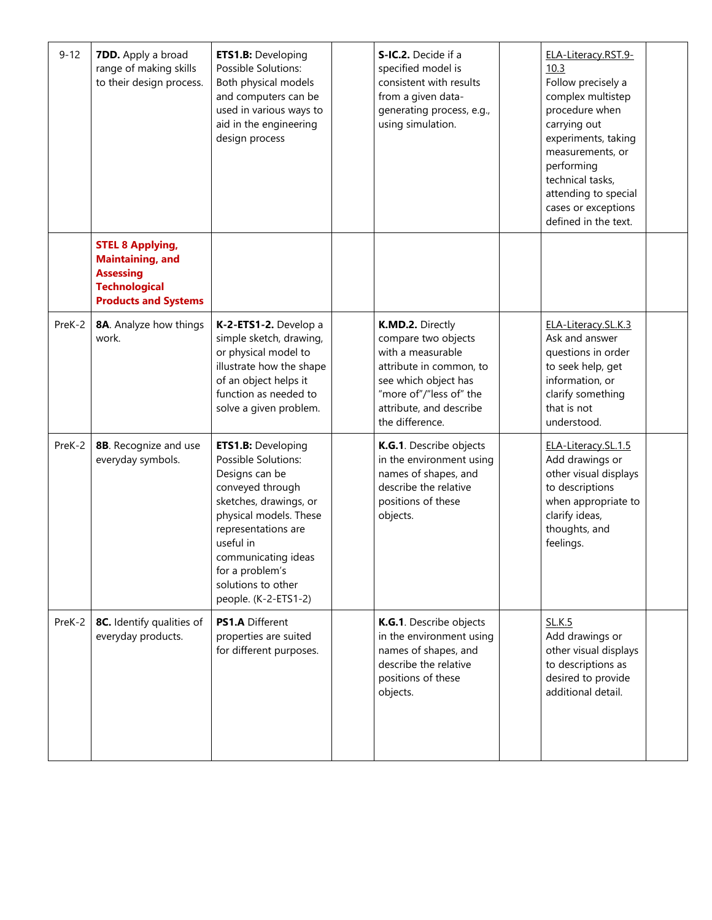| $9 - 12$ | <b>7DD.</b> Apply a broad<br>range of making skills<br>to their design process.                                               | <b>ETS1.B: Developing</b><br>Possible Solutions:<br>Both physical models<br>and computers can be<br>used in various ways to<br>aid in the engineering<br>design process                                                                                                | S-IC.2. Decide if a<br>specified model is<br>consistent with results<br>from a given data-<br>generating process, e.g.,<br>using simulation.                                             | ELA-Literacy.RST.9-<br>10.3<br>Follow precisely a<br>complex multistep<br>procedure when<br>carrying out<br>experiments, taking<br>measurements, or<br>performing<br>technical tasks,<br>attending to special<br>cases or exceptions<br>defined in the text. |  |
|----------|-------------------------------------------------------------------------------------------------------------------------------|------------------------------------------------------------------------------------------------------------------------------------------------------------------------------------------------------------------------------------------------------------------------|------------------------------------------------------------------------------------------------------------------------------------------------------------------------------------------|--------------------------------------------------------------------------------------------------------------------------------------------------------------------------------------------------------------------------------------------------------------|--|
|          | <b>STEL 8 Applying,</b><br><b>Maintaining, and</b><br><b>Assessing</b><br><b>Technological</b><br><b>Products and Systems</b> |                                                                                                                                                                                                                                                                        |                                                                                                                                                                                          |                                                                                                                                                                                                                                                              |  |
| PreK-2   | 8A. Analyze how things<br>work.                                                                                               | K-2-ETS1-2. Develop a<br>simple sketch, drawing,<br>or physical model to<br>illustrate how the shape<br>of an object helps it<br>function as needed to<br>solve a given problem.                                                                                       | K.MD.2. Directly<br>compare two objects<br>with a measurable<br>attribute in common, to<br>see which object has<br>"more of"/"less of" the<br>attribute, and describe<br>the difference. | ELA-Literacy.SL.K.3<br>Ask and answer<br>questions in order<br>to seek help, get<br>information, or<br>clarify something<br>that is not<br>understood.                                                                                                       |  |
| PreK-2   | 8B. Recognize and use<br>everyday symbols.                                                                                    | <b>ETS1.B: Developing</b><br>Possible Solutions:<br>Designs can be<br>conveyed through<br>sketches, drawings, or<br>physical models. These<br>representations are<br>useful in<br>communicating ideas<br>for a problem's<br>solutions to other<br>people. (K-2-ETS1-2) | K.G.1. Describe objects<br>in the environment using<br>names of shapes, and<br>describe the relative<br>positions of these<br>objects.                                                   | ELA-Literacy.SL.1.5<br>Add drawings or<br>other visual displays<br>to descriptions<br>when appropriate to<br>clarify ideas,<br>thoughts, and<br>feelings.                                                                                                    |  |
| PreK-2   | 8C. Identify qualities of<br>everyday products.                                                                               | <b>PS1.A Different</b><br>properties are suited<br>for different purposes.                                                                                                                                                                                             | K.G.1. Describe objects<br>in the environment using<br>names of shapes, and<br>describe the relative<br>positions of these<br>objects.                                                   | <b>SL.K.5</b><br>Add drawings or<br>other visual displays<br>to descriptions as<br>desired to provide<br>additional detail.                                                                                                                                  |  |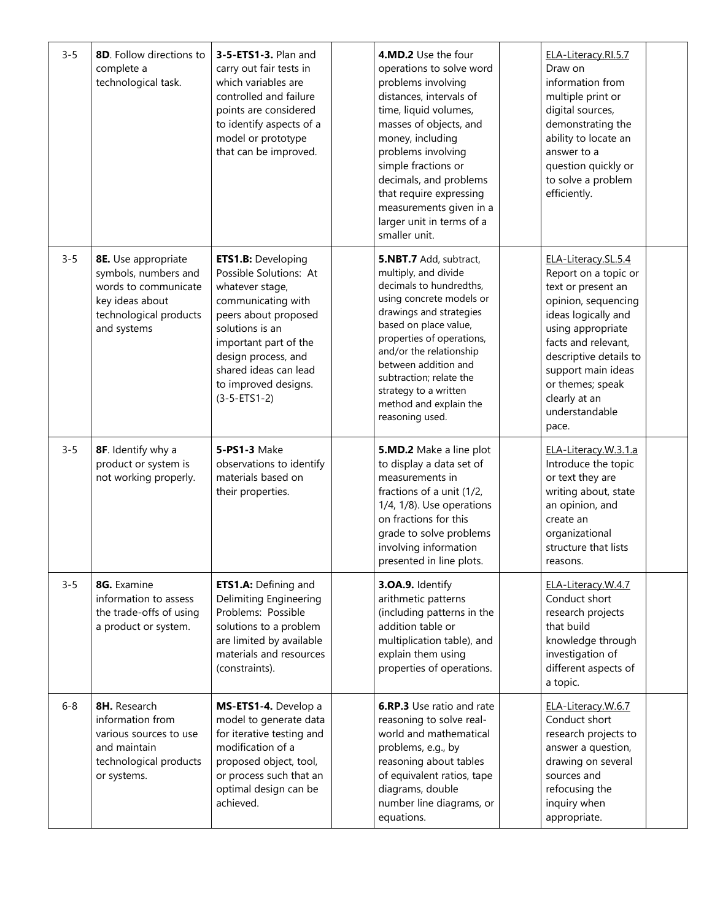| $3 - 5$ | 8D. Follow directions to<br>complete a<br>technological task.                                                                   | 3-5-ETS1-3. Plan and<br>carry out fair tests in<br>which variables are<br>controlled and failure<br>points are considered<br>to identify aspects of a<br>model or prototype<br>that can be improved.                                                             | 4.MD.2 Use the four<br>operations to solve word<br>problems involving<br>distances, intervals of<br>time, liquid volumes,<br>masses of objects, and<br>money, including<br>problems involving<br>simple fractions or<br>decimals, and problems<br>that require expressing<br>measurements given in a<br>larger unit in terms of a<br>smaller unit. | ELA-Literacy.RI.5.7<br>Draw on<br>information from<br>multiple print or<br>digital sources,<br>demonstrating the<br>ability to locate an<br>answer to a<br>question quickly or<br>to solve a problem<br>efficiently.                                                        |  |
|---------|---------------------------------------------------------------------------------------------------------------------------------|------------------------------------------------------------------------------------------------------------------------------------------------------------------------------------------------------------------------------------------------------------------|----------------------------------------------------------------------------------------------------------------------------------------------------------------------------------------------------------------------------------------------------------------------------------------------------------------------------------------------------|-----------------------------------------------------------------------------------------------------------------------------------------------------------------------------------------------------------------------------------------------------------------------------|--|
| $3 - 5$ | 8E. Use appropriate<br>symbols, numbers and<br>words to communicate<br>key ideas about<br>technological products<br>and systems | <b>ETS1.B:</b> Developing<br>Possible Solutions: At<br>whatever stage,<br>communicating with<br>peers about proposed<br>solutions is an<br>important part of the<br>design process, and<br>shared ideas can lead<br>to improved designs.<br>$(3 - 5 - ETS1 - 2)$ | 5.NBT.7 Add, subtract,<br>multiply, and divide<br>decimals to hundredths,<br>using concrete models or<br>drawings and strategies<br>based on place value,<br>properties of operations,<br>and/or the relationship<br>between addition and<br>subtraction; relate the<br>strategy to a written<br>method and explain the<br>reasoning used.         | ELA-Literacy.SL.5.4<br>Report on a topic or<br>text or present an<br>opinion, sequencing<br>ideas logically and<br>using appropriate<br>facts and relevant,<br>descriptive details to<br>support main ideas<br>or themes; speak<br>clearly at an<br>understandable<br>pace. |  |
| $3 - 5$ | 8F. Identify why a<br>product or system is<br>not working properly.                                                             | 5-PS1-3 Make<br>observations to identify<br>materials based on<br>their properties.                                                                                                                                                                              | 5.MD.2 Make a line plot<br>to display a data set of<br>measurements in<br>fractions of a unit (1/2,<br>1/4, 1/8). Use operations<br>on fractions for this<br>grade to solve problems<br>involving information<br>presented in line plots.                                                                                                          | ELA-Literacy.W.3.1.a<br>Introduce the topic<br>or text they are<br>writing about, state<br>an opinion, and<br>create an<br>organizational<br>structure that lists<br>reasons.                                                                                               |  |
| $3 - 5$ | 8G. Examine<br>information to assess<br>the trade-offs of using<br>a product or system.                                         | ETS1.A: Defining and<br><b>Delimiting Engineering</b><br>Problems: Possible<br>solutions to a problem<br>are limited by available<br>materials and resources<br>(constraints).                                                                                   | 3.OA.9. Identify<br>arithmetic patterns<br>(including patterns in the<br>addition table or<br>multiplication table), and<br>explain them using<br>properties of operations.                                                                                                                                                                        | ELA-Literacy.W.4.7<br>Conduct short<br>research projects<br>that build<br>knowledge through<br>investigation of<br>different aspects of<br>a topic.                                                                                                                         |  |
| $6 - 8$ | 8H. Research<br>information from<br>various sources to use<br>and maintain<br>technological products<br>or systems.             | MS-ETS1-4. Develop a<br>model to generate data<br>for iterative testing and<br>modification of a<br>proposed object, tool,<br>or process such that an<br>optimal design can be<br>achieved.                                                                      | <b>6.RP.3</b> Use ratio and rate<br>reasoning to solve real-<br>world and mathematical<br>problems, e.g., by<br>reasoning about tables<br>of equivalent ratios, tape<br>diagrams, double<br>number line diagrams, or<br>equations.                                                                                                                 | ELA-Literacy.W.6.7<br>Conduct short<br>research projects to<br>answer a question,<br>drawing on several<br>sources and<br>refocusing the<br>inquiry when<br>appropriate.                                                                                                    |  |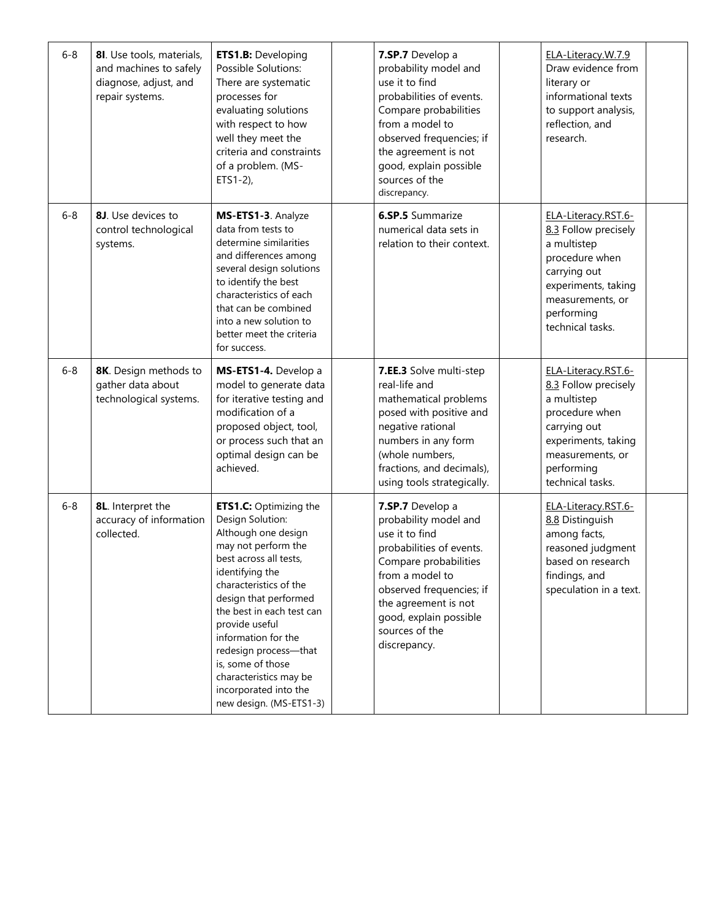| $6 - 8$ | 8I. Use tools, materials,<br>and machines to safely<br>diagnose, adjust, and<br>repair systems. | <b>ETS1.B: Developing</b><br>Possible Solutions:<br>There are systematic<br>processes for<br>evaluating solutions<br>with respect to how<br>well they meet the<br>criteria and constraints<br>of a problem. (MS-<br>$ETS1-2$ ),                                                                                                                                                                   | 7.SP.7 Develop a<br>probability model and<br>use it to find<br>probabilities of events.<br>Compare probabilities<br>from a model to<br>observed frequencies; if<br>the agreement is not<br>good, explain possible<br>sources of the<br>discrepancy. | ELA-Literacy.W.7.9<br>Draw evidence from<br>literary or<br>informational texts<br>to support analysis,<br>reflection, and<br>research.                                    |  |
|---------|-------------------------------------------------------------------------------------------------|---------------------------------------------------------------------------------------------------------------------------------------------------------------------------------------------------------------------------------------------------------------------------------------------------------------------------------------------------------------------------------------------------|-----------------------------------------------------------------------------------------------------------------------------------------------------------------------------------------------------------------------------------------------------|---------------------------------------------------------------------------------------------------------------------------------------------------------------------------|--|
| $6 - 8$ | 8J. Use devices to<br>control technological<br>systems.                                         | MS-ETS1-3. Analyze<br>data from tests to<br>determine similarities<br>and differences among<br>several design solutions<br>to identify the best<br>characteristics of each<br>that can be combined<br>into a new solution to<br>better meet the criteria<br>for success.                                                                                                                          | <b>6.SP.5</b> Summarize<br>numerical data sets in<br>relation to their context.                                                                                                                                                                     | ELA-Literacy.RST.6-<br>8.3 Follow precisely<br>a multistep<br>procedure when<br>carrying out<br>experiments, taking<br>measurements, or<br>performing<br>technical tasks. |  |
| $6 - 8$ | 8K. Design methods to<br>gather data about<br>technological systems.                            | MS-ETS1-4. Develop a<br>model to generate data<br>for iterative testing and<br>modification of a<br>proposed object, tool,<br>or process such that an<br>optimal design can be<br>achieved.                                                                                                                                                                                                       | 7.EE.3 Solve multi-step<br>real-life and<br>mathematical problems<br>posed with positive and<br>negative rational<br>numbers in any form<br>(whole numbers,<br>fractions, and decimals),<br>using tools strategically.                              | ELA-Literacy.RST.6-<br>8.3 Follow precisely<br>a multistep<br>procedure when<br>carrying out<br>experiments, taking<br>measurements, or<br>performing<br>technical tasks. |  |
| $6 - 8$ | 8L. Interpret the<br>accuracy of information<br>collected.                                      | <b>ETS1.C:</b> Optimizing the<br>Design Solution:<br>Although one design<br>may not perform the<br>best across all tests,<br>identifying the<br>characteristics of the<br>design that performed<br>the best in each test can<br>provide useful<br>information for the<br>redesign process-that<br>is, some of those<br>characteristics may be<br>incorporated into the<br>new design. (MS-ETS1-3) | 7.SP.7 Develop a<br>probability model and<br>use it to find<br>probabilities of events.<br>Compare probabilities<br>from a model to<br>observed frequencies; if<br>the agreement is not<br>good, explain possible<br>sources of the<br>discrepancy. | ELA-Literacy.RST.6-<br>8.8 Distinguish<br>among facts,<br>reasoned judgment<br>based on research<br>findings, and<br>speculation in a text.                               |  |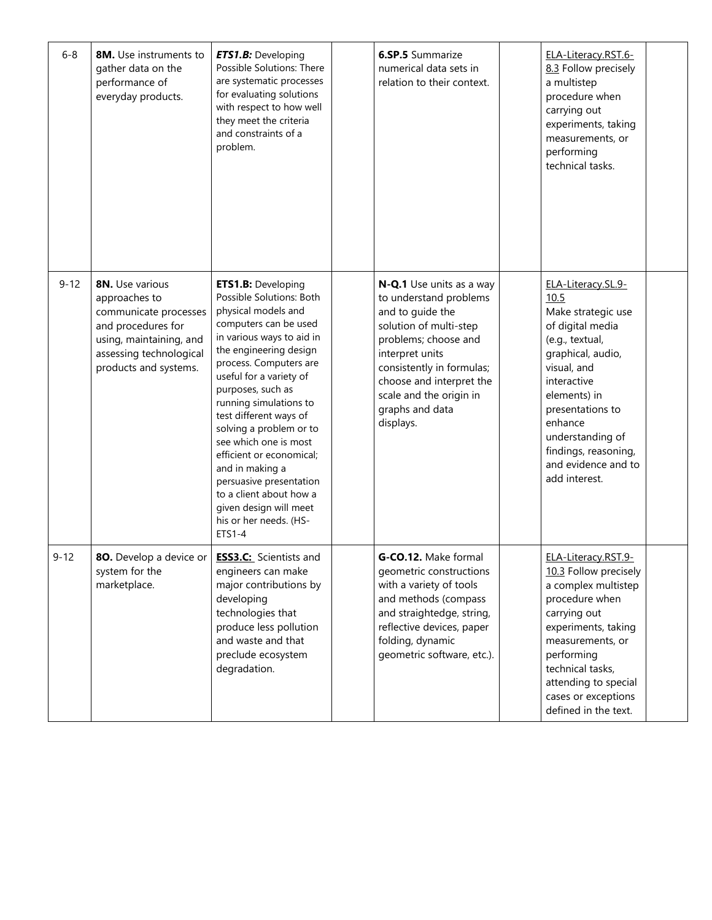| $6 - 8$  | <b>8M.</b> Use instruments to<br>gather data on the<br>performance of<br>everyday products.                                                                    | <b>ETS1.B:</b> Developing<br>Possible Solutions: There<br>are systematic processes<br>for evaluating solutions<br>with respect to how well<br>they meet the criteria<br>and constraints of a<br>problem.                                                                                                                                                                                                                                                                                                          | <b>6.SP.5</b> Summarize<br>numerical data sets in<br>relation to their context.                                                                                                                                                                                 | ELA-Literacy.RST.6-<br>8.3 Follow precisely<br>a multistep<br>procedure when<br>carrying out<br>experiments, taking<br>measurements, or<br>performing<br>technical tasks.                                                                                                     |  |
|----------|----------------------------------------------------------------------------------------------------------------------------------------------------------------|-------------------------------------------------------------------------------------------------------------------------------------------------------------------------------------------------------------------------------------------------------------------------------------------------------------------------------------------------------------------------------------------------------------------------------------------------------------------------------------------------------------------|-----------------------------------------------------------------------------------------------------------------------------------------------------------------------------------------------------------------------------------------------------------------|-------------------------------------------------------------------------------------------------------------------------------------------------------------------------------------------------------------------------------------------------------------------------------|--|
| $9 - 12$ | 8N. Use various<br>approaches to<br>communicate processes<br>and procedures for<br>using, maintaining, and<br>assessing technological<br>products and systems. | <b>ETS1.B:</b> Developing<br>Possible Solutions: Both<br>physical models and<br>computers can be used<br>in various ways to aid in<br>the engineering design<br>process. Computers are<br>useful for a variety of<br>purposes, such as<br>running simulations to<br>test different ways of<br>solving a problem or to<br>see which one is most<br>efficient or economical;<br>and in making a<br>persuasive presentation<br>to a client about how a<br>given design will meet<br>his or her needs. (HS-<br>ETS1-4 | N-Q.1 Use units as a way<br>to understand problems<br>and to guide the<br>solution of multi-step<br>problems; choose and<br>interpret units<br>consistently in formulas;<br>choose and interpret the<br>scale and the origin in<br>graphs and data<br>displays. | ELA-Literacy.SL.9-<br>10.5<br>Make strategic use<br>of digital media<br>(e.g., textual,<br>graphical, audio,<br>visual, and<br>interactive<br>elements) in<br>presentations to<br>enhance<br>understanding of<br>findings, reasoning,<br>and evidence and to<br>add interest. |  |
| $9 - 12$ | 80. Develop a device or<br>system for the<br>marketplace.                                                                                                      | <b>ESS3.C:</b> Scientists and<br>engineers can make<br>major contributions by<br>developing<br>technologies that<br>produce less pollution<br>and waste and that<br>preclude ecosystem<br>degradation.                                                                                                                                                                                                                                                                                                            | G-CO.12. Make formal<br>geometric constructions<br>with a variety of tools<br>and methods (compass<br>and straightedge, string,<br>reflective devices, paper<br>folding, dynamic<br>geometric software, etc.).                                                  | ELA-Literacy.RST.9-<br>10.3 Follow precisely<br>a complex multistep<br>procedure when<br>carrying out<br>experiments, taking<br>measurements, or<br>performing<br>technical tasks,<br>attending to special<br>cases or exceptions<br>defined in the text.                     |  |